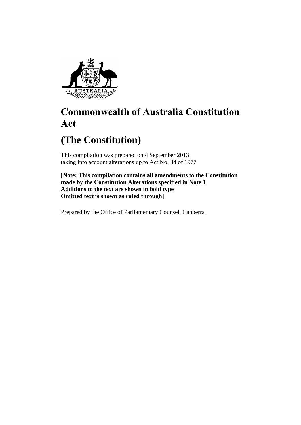

# **Commonwealth of Australia Constitution Act**

# **(The Constitution)**

This compilation was prepared on 4 September 2013 taking into account alterations up to Act No. 84 of 1977

**[Note: This compilation contains all amendments to the Constitution made by the Constitution Alterations specified in Note 1 Additions to the text are shown in bold type Omitted text is shown as ruled through]**

Prepared by the Office of Parliamentary Counsel, Canberra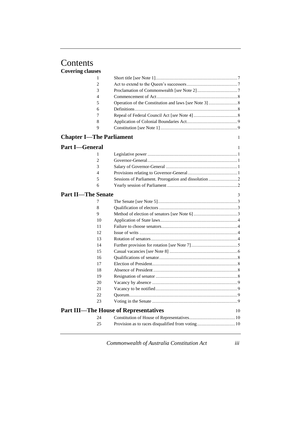# Contents **Covering clauses**

|                                 | $\mathbf{1}$ |                                                       |    |
|---------------------------------|--------------|-------------------------------------------------------|----|
|                                 | 2            |                                                       |    |
|                                 | 3            |                                                       |    |
|                                 | 4            |                                                       |    |
|                                 | 5            |                                                       |    |
|                                 | 6            |                                                       |    |
|                                 | 7            |                                                       |    |
|                                 | 8            |                                                       |    |
|                                 | 9            |                                                       |    |
| <b>Chapter I-The Parliament</b> |              |                                                       | 1  |
| <b>Part I-General</b>           |              |                                                       | 1  |
|                                 | 1            |                                                       |    |
|                                 | 2            |                                                       |    |
|                                 | 3            |                                                       |    |
|                                 | 4            |                                                       |    |
|                                 | 5            | Sessions of Parliament. Prorogation and dissolution 2 |    |
|                                 | 6            |                                                       |    |
| <b>Part II—The Senate</b>       |              |                                                       | 3  |
|                                 | 7            |                                                       |    |
|                                 | 8            |                                                       |    |
|                                 | 9            |                                                       |    |
|                                 | 10           |                                                       |    |
|                                 | 11           |                                                       |    |
|                                 | 12           |                                                       |    |
|                                 | 13           |                                                       |    |
|                                 | 14           |                                                       |    |
|                                 | 15           |                                                       |    |
|                                 | 16           |                                                       |    |
|                                 | 17           |                                                       |    |
|                                 | 18           |                                                       |    |
|                                 | 19           |                                                       |    |
|                                 | 20           |                                                       |    |
|                                 | 21           |                                                       |    |
|                                 | 22           |                                                       |    |
|                                 | 23           |                                                       |    |
|                                 |              | <b>Part III-The House of Representatives</b>          | 10 |
|                                 | 24           |                                                       |    |
|                                 | 25           |                                                       |    |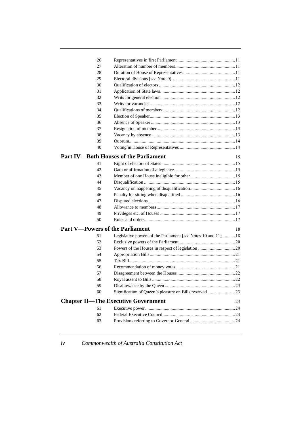| 26 |                                                                |    |
|----|----------------------------------------------------------------|----|
| 27 |                                                                |    |
| 28 |                                                                |    |
| 29 |                                                                |    |
| 30 |                                                                |    |
| 31 |                                                                |    |
| 32 |                                                                |    |
| 33 |                                                                |    |
| 34 |                                                                |    |
| 35 |                                                                |    |
| 36 |                                                                |    |
| 37 |                                                                |    |
| 38 |                                                                |    |
| 39 |                                                                |    |
| 40 |                                                                |    |
|    | <b>Part IV—Both Houses of the Parliament</b>                   | 15 |
| 41 |                                                                |    |
| 42 |                                                                |    |
| 43 |                                                                |    |
| 44 |                                                                |    |
| 45 |                                                                |    |
| 46 |                                                                |    |
| 47 |                                                                |    |
| 48 |                                                                |    |
| 49 |                                                                |    |
| 50 |                                                                |    |
|    | <b>Part V—Powers of the Parliament</b>                         | 18 |
| 51 | Legislative powers of the Parliament [see Notes 10 and 11]  18 |    |
| 52 |                                                                |    |
| 53 |                                                                |    |
| 54 |                                                                |    |
| 55 |                                                                |    |
| 56 |                                                                |    |
| 57 |                                                                |    |
| 58 |                                                                |    |
| 59 |                                                                |    |
| 60 | Signification of Queen's pleasure on Bills reserved23          |    |
|    | <b>Chapter II-The Executive Government</b>                     | 24 |
| 61 |                                                                |    |
| 62 |                                                                |    |
| 63 |                                                                |    |
|    |                                                                |    |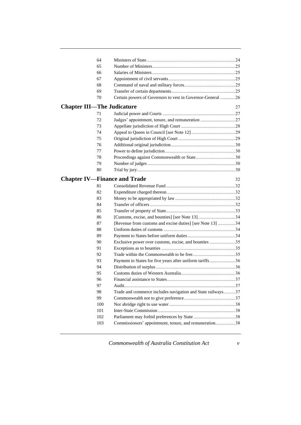|                                   | 64  |                                                             |    |
|-----------------------------------|-----|-------------------------------------------------------------|----|
|                                   | 65  |                                                             |    |
|                                   | 66  |                                                             |    |
|                                   | 67  |                                                             |    |
|                                   | 68  |                                                             |    |
|                                   | 69  |                                                             |    |
|                                   | 70  | Certain powers of Governors to vest in Governor-General 26  |    |
| <b>Chapter III-The Judicature</b> |     |                                                             | 27 |
|                                   | 71  |                                                             |    |
|                                   | 72  |                                                             |    |
|                                   | 73  |                                                             |    |
|                                   | 74  |                                                             |    |
|                                   | 75  |                                                             |    |
|                                   | 76  |                                                             |    |
|                                   | 77  |                                                             |    |
|                                   | 78  |                                                             |    |
|                                   | 79  |                                                             |    |
|                                   | 80  |                                                             |    |
|                                   |     | <b>Chapter IV-Finance and Trade</b>                         | 32 |
|                                   | 81  |                                                             |    |
|                                   | 82  |                                                             |    |
|                                   | 83  |                                                             |    |
|                                   | 84  |                                                             |    |
|                                   | 85  |                                                             |    |
|                                   | 86  | [Customs, excise, and bounties] [see Note 13]34             |    |
|                                   | 87  | [Revenue from customs and excise duties] [see Note 13] 34   |    |
|                                   | 88  |                                                             |    |
|                                   |     |                                                             |    |
|                                   | 89  |                                                             |    |
|                                   | 90  | Exclusive power over customs, excise, and bounties 35       |    |
|                                   | 91  |                                                             |    |
|                                   | 92  |                                                             |    |
|                                   | 93  | Payment to States for five years after uniform tariffs36    |    |
|                                   | 94  |                                                             |    |
|                                   | 95  |                                                             |    |
|                                   | 96  |                                                             |    |
|                                   | 97  |                                                             |    |
|                                   | 98  | Trade and commerce includes navigation and State railways37 |    |
|                                   | 99  |                                                             |    |
|                                   | 100 |                                                             |    |
|                                   | 101 |                                                             |    |
|                                   | 102 |                                                             |    |
|                                   | 103 | Commissioners' appointment, tenure, and remuneration38      |    |
|                                   |     |                                                             |    |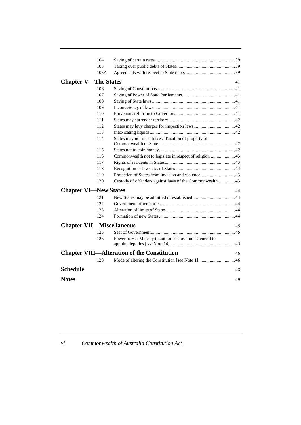|                                  | 104  |                                                          |    |
|----------------------------------|------|----------------------------------------------------------|----|
|                                  | 105  |                                                          |    |
|                                  | 105A |                                                          |    |
|                                  |      |                                                          |    |
| <b>Chapter V-The States</b>      |      |                                                          | 41 |
|                                  | 106  |                                                          |    |
|                                  | 107  |                                                          |    |
|                                  | 108  |                                                          |    |
|                                  | 109  |                                                          |    |
|                                  | 110  |                                                          |    |
|                                  | 111  |                                                          |    |
|                                  | 112  |                                                          |    |
|                                  | 113  |                                                          |    |
|                                  | 114  | States may not raise forces. Taxation of property of     |    |
|                                  |      |                                                          |    |
|                                  | 115  |                                                          |    |
|                                  | 116  | Commonwealth not to legislate in respect of religion 43  |    |
|                                  | 117  |                                                          |    |
|                                  | 118  |                                                          |    |
|                                  | 119  |                                                          |    |
|                                  | 120  | Custody of offenders against laws of the Commonwealth 43 |    |
| <b>Chapter VI-New States</b>     |      |                                                          | 44 |
|                                  | 121  |                                                          |    |
|                                  | 122  |                                                          |    |
|                                  | 123  |                                                          |    |
|                                  | 12.4 |                                                          |    |
| <b>Chapter VII—Miscellaneous</b> |      |                                                          | 45 |
|                                  | 125  |                                                          |    |
|                                  | 126  | Power to Her Majesty to authorise Governor-General to    |    |
|                                  |      |                                                          |    |
|                                  |      | <b>Chapter VIII—Alteration of the Constitution</b>       | 46 |
|                                  | 128  |                                                          |    |
| <b>Schedule</b>                  |      |                                                          | 48 |
| <b>Notes</b>                     |      |                                                          | 49 |
|                                  |      |                                                          |    |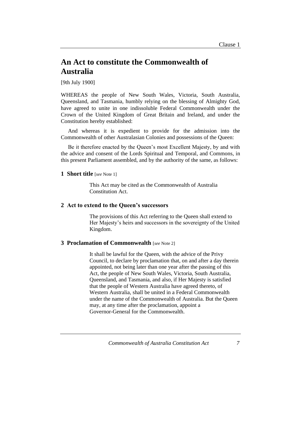# **An Act to constitute the Commonwealth of Australia**

[9th July 1900]

WHEREAS the people of New South Wales, Victoria, South Australia, Queensland, and Tasmania, humbly relying on the blessing of Almighty God, have agreed to unite in one indissoluble Federal Commonwealth under the Crown of the United Kingdom of Great Britain and Ireland, and under the Constitution hereby established:

And whereas it is expedient to provide for the admission into the Commonwealth of other Australasian Colonies and possessions of the Queen:

Be it therefore enacted by the Queen's most Excellent Majesty, by and with the advice and consent of the Lords Spiritual and Temporal, and Commons, in this present Parliament assembled, and by the authority of the same, as follows:

#### **1 Short title** [*see* Note 1]

This Act may be cited as the Commonwealth of Australia Constitution Act.

#### **2 Act to extend to the Queen's successors**

The provisions of this Act referring to the Queen shall extend to Her Majesty's heirs and successors in the sovereignty of the United Kingdom.

### **3 Proclamation of Commonwealth** [*see* Note 2]

It shall be lawful for the Queen, with the advice of the Privy Council, to declare by proclamation that, on and after a day therein appointed, not being later than one year after the passing of this Act, the people of New South Wales, Victoria, South Australia, Queensland, and Tasmania, and also, if Her Majesty is satisfied that the people of Western Australia have agreed thereto, of Western Australia, shall be united in a Federal Commonwealth under the name of the Commonwealth of Australia. But the Queen may, at any time after the proclamation, appoint a Governor-General for the Commonwealth.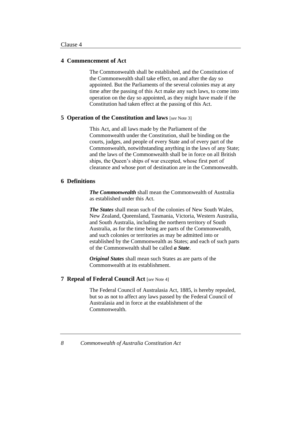#### **4 Commencement of Act**

The Commonwealth shall be established, and the Constitution of the Commonwealth shall take effect, on and after the day so appointed. But the Parliaments of the several colonies may at any time after the passing of this Act make any such laws, to come into operation on the day so appointed, as they might have made if the Constitution had taken effect at the passing of this Act.

### **5 Operation of the Constitution and laws** [*see* Note 3]

This Act, and all laws made by the Parliament of the Commonwealth under the Constitution, shall be binding on the courts, judges, and people of every State and of every part of the Commonwealth, notwithstanding anything in the laws of any State; and the laws of the Commonwealth shall be in force on all British ships, the Queen's ships of war excepted, whose first port of clearance and whose port of destination are in the Commonwealth.

# **6 Definitions**

*The Commonwealth* shall mean the Commonwealth of Australia as established under this Act.

*The States* shall mean such of the colonies of New South Wales, New Zealand, Queensland, Tasmania, Victoria, Western Australia, and South Australia, including the northern territory of South Australia, as for the time being are parts of the Commonwealth, and such colonies or territories as may be admitted into or established by the Commonwealth as States; and each of such parts of the Commonwealth shall be called *a State*.

*Original States* shall mean such States as are parts of the Commonwealth at its establishment.

# **7 Repeal of Federal Council Act** [*see* Note 4]

The Federal Council of Australasia Act, 1885, is hereby repealed, but so as not to affect any laws passed by the Federal Council of Australasia and in force at the establishment of the Commonwealth.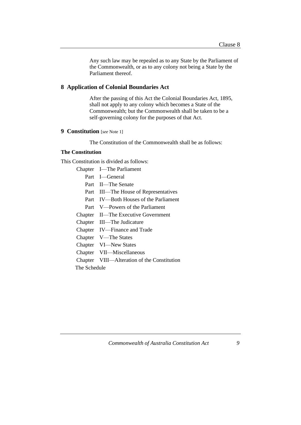Any such law may be repealed as to any State by the Parliament of the Commonwealth, or as to any colony not being a State by the Parliament thereof.

# **8 Application of Colonial Boundaries Act**

After the passing of this Act the Colonial Boundaries Act, 1895, shall not apply to any colony which becomes a State of the Commonwealth; but the Commonwealth shall be taken to be a self-governing colony for the purposes of that Act.

### **9 Constitution** [*see* Note 1]

The Constitution of the Commonwealth shall be as follows:

# **The Constitution**

This Constitution is divided as follows:

|              | Chapter I—The Parliament            |
|--------------|-------------------------------------|
|              | Part I—General                      |
| Part         | II—The Senate                       |
| Part         | III—The House of Representatives    |
| Part         | IV—Both Houses of the Parliament    |
| Part         | V—Powers of the Parliament          |
| Chapter      | II—The Executive Government         |
|              | Chapter III—The Judicature          |
| Chapter      | IV—Finance and Trade                |
|              | Chapter V—The States                |
|              | Chapter VI-New States               |
|              | Chapter VII-Miscellaneous           |
| Chapter      | VIII-Alteration of the Constitution |
| The Schedule |                                     |
|              |                                     |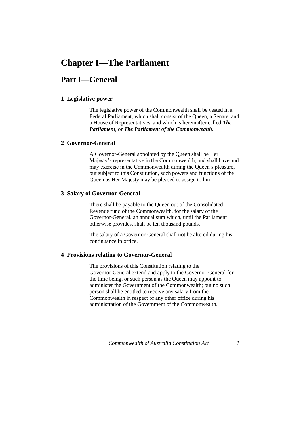# **Chapter I—The Parliament**

# **Part I—General**

# **1 Legislative power**

The legislative power of the Commonwealth shall be vested in a Federal Parliament, which shall consist of the Queen, a Senate, and a House of Representatives, and which is hereinafter called *The Parliament*, or *The Parliament of the Commonwealth*.

# **2 Governor-General**

A Governor-General appointed by the Queen shall be Her Majesty's representative in the Commonwealth, and shall have and may exercise in the Commonwealth during the Queen's pleasure, but subject to this Constitution, such powers and functions of the Queen as Her Majesty may be pleased to assign to him.

# **3 Salary of Governor-General**

There shall be payable to the Queen out of the Consolidated Revenue fund of the Commonwealth, for the salary of the Governor-General, an annual sum which, until the Parliament otherwise provides, shall be ten thousand pounds.

The salary of a Governor-General shall not be altered during his continuance in office.

# **4 Provisions relating to Governor-General**

The provisions of this Constitution relating to the Governor-General extend and apply to the Governor-General for the time being, or such person as the Queen may appoint to administer the Government of the Commonwealth; but no such person shall be entitled to receive any salary from the Commonwealth in respect of any other office during his administration of the Government of the Commonwealth.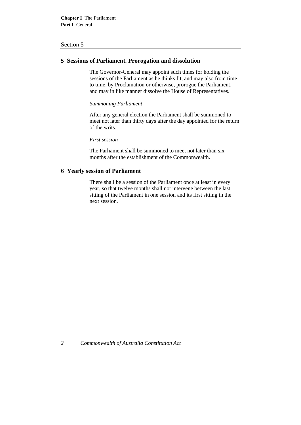### **5 Sessions of Parliament. Prorogation and dissolution**

The Governor-General may appoint such times for holding the sessions of the Parliament as he thinks fit, and may also from time to time, by Proclamation or otherwise, prorogue the Parliament, and may in like manner dissolve the House of Representatives.

#### *Summoning Parliament*

After any general election the Parliament shall be summoned to meet not later than thirty days after the day appointed for the return of the writs.

#### *First session*

The Parliament shall be summoned to meet not later than six months after the establishment of the Commonwealth.

# **6 Yearly session of Parliament**

There shall be a session of the Parliament once at least in every year, so that twelve months shall not intervene between the last sitting of the Parliament in one session and its first sitting in the next session.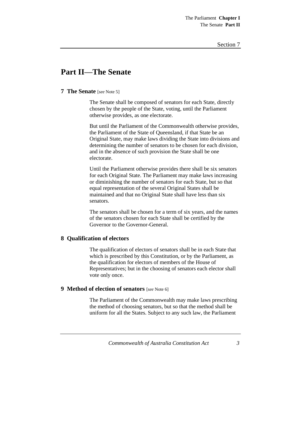# **Part II—The Senate**

### **7 The Senate** [*see* Note 5]

The Senate shall be composed of senators for each State, directly chosen by the people of the State, voting, until the Parliament otherwise provides, as one electorate.

But until the Parliament of the Commonwealth otherwise provides, the Parliament of the State of Queensland, if that State be an Original State, may make laws dividing the State into divisions and determining the number of senators to be chosen for each division, and in the absence of such provision the State shall be one electorate.

Until the Parliament otherwise provides there shall be six senators for each Original State. The Parliament may make laws increasing or diminishing the number of senators for each State, but so that equal representation of the several Original States shall be maintained and that no Original State shall have less than six senators.

The senators shall be chosen for a term of six years, and the names of the senators chosen for each State shall be certified by the Governor to the Governor-General.

# **8 Qualification of electors**

The qualification of electors of senators shall be in each State that which is prescribed by this Constitution, or by the Parliament, as the qualification for electors of members of the House of Representatives; but in the choosing of senators each elector shall vote only once.

#### **9 Method of election of senators** [*see* Note 6]

The Parliament of the Commonwealth may make laws prescribing the method of choosing senators, but so that the method shall be uniform for all the States. Subject to any such law, the Parliament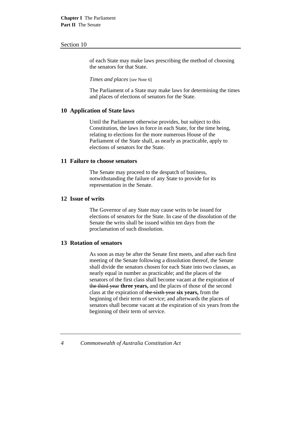of each State may make laws prescribing the method of choosing the senators for that State.

*Times and places* [*see* Note 6]

The Parliament of a State may make laws for determining the times and places of elections of senators for the State.

### **10 Application of State laws**

Until the Parliament otherwise provides, but subject to this Constitution, the laws in force in each State, for the time being, relating to elections for the more numerous House of the Parliament of the State shall, as nearly as practicable, apply to elections of senators for the State.

### **11 Failure to choose senators**

The Senate may proceed to the despatch of business, notwithstanding the failure of any State to provide for its representation in the Senate.

### **12 Issue of writs**

The Governor of any State may cause writs to be issued for elections of senators for the State. In case of the dissolution of the Senate the writs shall be issued within ten days from the proclamation of such dissolution.

#### **13 Rotation of senators**

As soon as may be after the Senate first meets, and after each first meeting of the Senate following a dissolution thereof, the Senate shall divide the senators chosen for each State into two classes, as nearly equal in number as practicable; and the places of the senators of the first class shall become vacant at the expiration of the third year **three years,** and the places of those of the second class at the expiration of the sixth year **six years,** from the beginning of their term of service; and afterwards the places of senators shall become vacant at the expiration of six years from the beginning of their term of service.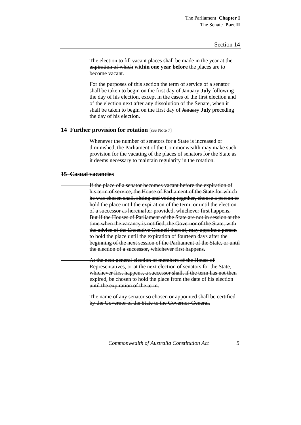The election to fill vacant places shall be made in the year at the expiration of which **within one year before** the places are to become vacant.

For the purposes of this section the term of service of a senator shall be taken to begin on the first day of January **July** following the day of his election, except in the cases of the first election and of the election next after any dissolution of the Senate, when it shall be taken to begin on the first day of January **July** preceding the day of his election.

### **14 Further provision for rotation** [*see* Note 7]

Whenever the number of senators for a State is increased or diminished, the Parliament of the Commonwealth may make such provision for the vacating of the places of senators for the State as it deems necessary to maintain regularity in the rotation.

### **15 Casual vacancies**

If the place of a senator becomes vacant before the expiration of his term of service, the House of Parliament of the State for which he was chosen shall, sitting and voting together, choose a person to hold the place until the expiration of the term, or until the election of a successor as hereinafter provided, whichever first happens. But if the Houses of Parliament of the State are not in session at the time when the vacancy is notified, the Governor of the State, with the advice of the Executive Council thereof, may appoint a person to hold the place until the expiration of fourteen days after the beginning of the next session of the Parliament of the State, or until the election of a successor, whichever first happens.

- At the next general election of members of the House of Representatives, or at the next election of senators for the State, whichever first happens, a successor shall, if the term has not then expired, be chosen to hold the place from the date of his election until the expiration of the term.
- The name of any senator so chosen or appointed shall be certified by the Governor of the State to the Governor-General.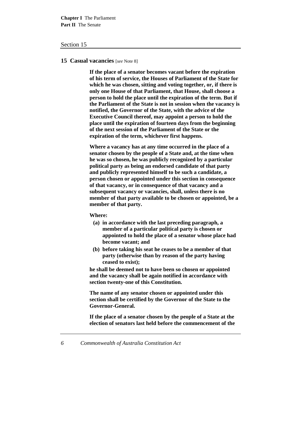#### **15 Casual vacancies** [*see* Note 8]

**If the place of a senator becomes vacant before the expiration of his term of service, the Houses of Parliament of the State for which he was chosen, sitting and voting together, or, if there is only one House of that Parliament, that House, shall choose a person to hold the place until the expiration of the term. But if the Parliament of the State is not in session when the vacancy is notified, the Governor of the State, with the advice of the Executive Council thereof, may appoint a person to hold the place until the expiration of fourteen days from the beginning of the next session of the Parliament of the State or the expiration of the term, whichever first happens.**

**Where a vacancy has at any time occurred in the place of a senator chosen by the people of a State and, at the time when he was so chosen, he was publicly recognized by a particular political party as being an endorsed candidate of that party and publicly represented himself to be such a candidate, a person chosen or appointed under this section in consequence of that vacancy, or in consequence of that vacancy and a subsequent vacancy or vacancies, shall, unless there is no member of that party available to be chosen or appointed, be a member of that party.**

#### **Where:**

- **(a) in accordance with the last preceding paragraph, a member of a particular political party is chosen or appointed to hold the place of a senator whose place had become vacant; and**
- **(b) before taking his seat he ceases to be a member of that party (otherwise than by reason of the party having ceased to exist);**

**he shall be deemed not to have been so chosen or appointed and the vacancy shall be again notified in accordance with section twenty-one of this Constitution.**

**The name of any senator chosen or appointed under this section shall be certified by the Governor of the State to the Governor-General.**

**If the place of a senator chosen by the people of a State at the election of senators last held before the commencement of the**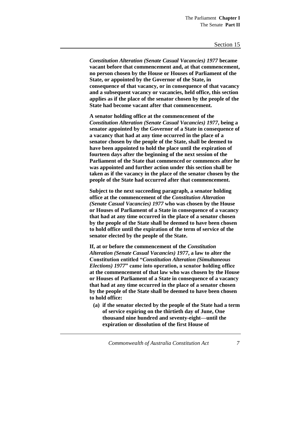*Constitution Alteration (Senate Casual Vacancies) 1977* **became vacant before that commencement and, at that commencement, no person chosen by the House or Houses of Parliament of the State, or appointed by the Governor of the State, in consequence of that vacancy, or in consequence of that vacancy and a subsequent vacancy or vacancies, held office, this section applies as if the place of the senator chosen by the people of the State had become vacant after that commencement.**

**A senator holding office at the commencement of the**  *Constitution Alteration (Senate Casual Vacancies) 1977***, being a senator appointed by the Governor of a State in consequence of a vacancy that had at any time occurred in the place of a senator chosen by the people of the State, shall be deemed to have been appointed to hold the place until the expiration of fourteen days after the beginning of the next session of the Parliament of the State that commenced or commences after he was appointed and further action under this section shall be taken as if the vacancy in the place of the senator chosen by the people of the State had occurred after that commencement.**

**Subject to the next succeeding paragraph, a senator holding office at the commencement of the** *Constitution Alteration (Senate Casual Vacancies) 1977* **who was chosen by the House or Houses of Parliament of a State in consequence of a vacancy that had at any time occurred in the place of a senator chosen by the people of the State shall be deemed to have been chosen to hold office until the expiration of the term of service of the senator elected by the people of the State.**

**If, at or before the commencement of the** *Constitution Alteration (Senate Casual Vacancies) 1977***, a law to alter the Constitution entitled "***Constitution Alteration (Simultaneous Elections) 1977***" came into operation, a senator holding office at the commencement of that law who was chosen by the House or Houses of Parliament of a State in consequence of a vacancy that had at any time occurred in the place of a senator chosen by the people of the State shall be deemed to have been chosen to hold office:**

**(a) if the senator elected by the people of the State had a term of service expiring on the thirtieth day of June, One thousand nine hundred and seventy-eight—until the expiration or dissolution of the first House of**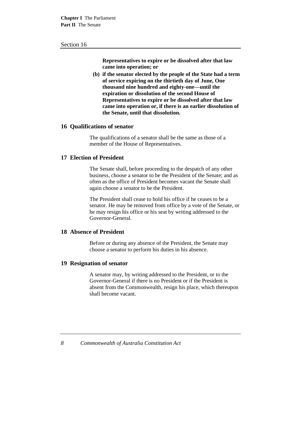**Representatives to expire or be dissolved after that law came into operation; or**

**(b) if the senator elected by the people of the State had a term of service expiring on the thirtieth day of June, One thousand nine hundred and eighty-one—until the expiration or dissolution of the second House of Representatives to expire or be dissolved after that law came into operation or, if there is an earlier dissolution of the Senate, until that dissolution.**

### **16 Qualifications of senator**

The qualifications of a senator shall be the same as those of a member of the House of Representatives.

# **17 Election of President**

The Senate shall, before proceeding to the despatch of any other business, choose a senator to be the President of the Senate; and as often as the office of President becomes vacant the Senate shall again choose a senator to be the President.

The President shall cease to hold his office if he ceases to be a senator. He may be removed from office by a vote of the Senate, or he may resign his office or his seat by writing addressed to the Governor-General.

### **18 Absence of President**

Before or during any absence of the President, the Senate may choose a senator to perform his duties in his absence.

#### **19 Resignation of senator**

A senator may, by writing addressed to the President, or to the Governor-General if there is no President or if the President is absent from the Commonwealth, resign his place, which thereupon shall become vacant.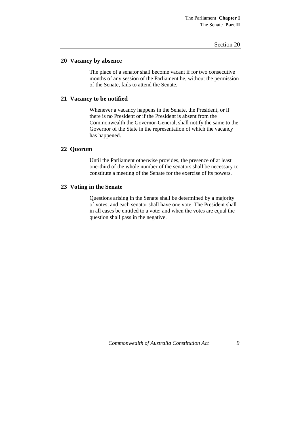### **20 Vacancy by absence**

The place of a senator shall become vacant if for two consecutive months of any session of the Parliament he, without the permission of the Senate, fails to attend the Senate.

# **21 Vacancy to be notified**

Whenever a vacancy happens in the Senate, the President, or if there is no President or if the President is absent from the Commonwealth the Governor-General, shall notify the same to the Governor of the State in the representation of which the vacancy has happened.

# **22 Quorum**

Until the Parliament otherwise provides, the presence of at least one-third of the whole number of the senators shall be necessary to constitute a meeting of the Senate for the exercise of its powers.

# **23 Voting in the Senate**

Questions arising in the Senate shall be determined by a majority of votes, and each senator shall have one vote. The President shall in all cases be entitled to a vote; and when the votes are equal the question shall pass in the negative.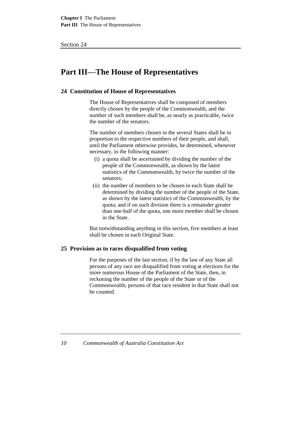# **Part III—The House of Representatives**

# **24 Constitution of House of Representatives**

The House of Representatives shall be composed of members directly chosen by the people of the Commonwealth, and the number of such members shall be, as nearly as practicable, twice the number of the senators.

The number of members chosen in the several States shall be in proportion to the respective numbers of their people, and shall, until the Parliament otherwise provides, be determined, whenever necessary, in the following manner:

- (i) a quota shall be ascertained by dividing the number of the people of the Commonwealth, as shown by the latest statistics of the Commonwealth, by twice the number of the senators;
- (ii) the number of members to be chosen in each State shall be determined by dividing the number of the people of the State, as shown by the latest statistics of the Commonwealth, by the quota; and if on such division there is a remainder greater than one-half of the quota, one more member shall be chosen in the State.

But notwithstanding anything in this section, five members at least shall be chosen in each Original State.

# **25 Provision as to races disqualified from voting**

For the purposes of the last section, if by the law of any State all persons of any race are disqualified from voting at elections for the more numerous House of the Parliament of the State, then, in reckoning the number of the people of the State or of the Commonwealth, persons of that race resident in that State shall not be counted.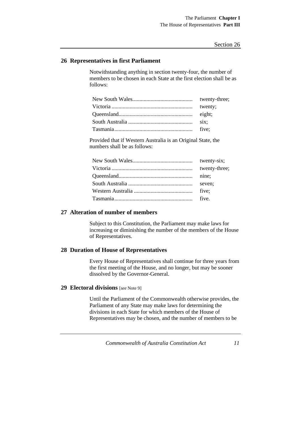### **26 Representatives in first Parliament**

Notwithstanding anything in section twenty-four, the number of members to be chosen in each State at the first election shall be as follows:

| twenty-three; |
|---------------|
| twenty;       |
| eight;        |
| six:          |
|               |

Provided that if Western Australia is an Original State, the numbers shall be as follows:

| twenty-six;         |
|---------------------|
| twenty-three;       |
| nine:               |
| seven:              |
| five:               |
| $Ta smania \dots 1$ |
|                     |

#### **27 Alteration of number of members**

Subject to this Constitution, the Parliament may make laws for increasing or diminishing the number of the members of the House of Representatives.

# **28 Duration of House of Representatives**

Every House of Representatives shall continue for three years from the first meeting of the House, and no longer, but may be sooner dissolved by the Governor-General.

#### **29 Electoral divisions** [*see* Note 9]

Until the Parliament of the Commonwealth otherwise provides, the Parliament of any State may make laws for determining the divisions in each State for which members of the House of Representatives may be chosen, and the number of members to be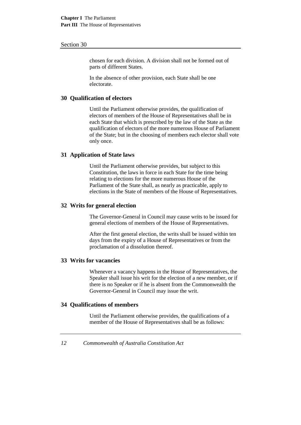chosen for each division. A division shall not be formed out of parts of different States.

In the absence of other provision, each State shall be one electorate.

### **30 Qualification of electors**

Until the Parliament otherwise provides, the qualification of electors of members of the House of Representatives shall be in each State that which is prescribed by the law of the State as the qualification of electors of the more numerous House of Parliament of the State; but in the choosing of members each elector shall vote only once.

### **31 Application of State laws**

Until the Parliament otherwise provides, but subject to this Constitution, the laws in force in each State for the time being relating to elections for the more numerous House of the Parliament of the State shall, as nearly as practicable, apply to elections in the State of members of the House of Representatives.

### **32 Writs for general election**

The Governor-General in Council may cause writs to be issued for general elections of members of the House of Representatives.

After the first general election, the writs shall be issued within ten days from the expiry of a House of Representatives or from the proclamation of a dissolution thereof.

#### **33 Writs for vacancies**

Whenever a vacancy happens in the House of Representatives, the Speaker shall issue his writ for the election of a new member, or if there is no Speaker or if he is absent from the Commonwealth the Governor-General in Council may issue the writ.

# **34 Qualifications of members**

Until the Parliament otherwise provides, the qualifications of a member of the House of Representatives shall be as follows: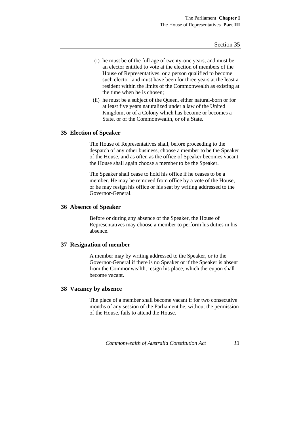- (i) he must be of the full age of twenty-one years, and must be an elector entitled to vote at the election of members of the House of Representatives, or a person qualified to become such elector, and must have been for three years at the least a resident within the limits of the Commonwealth as existing at the time when he is chosen;
- (ii) he must be a subject of the Queen, either natural-born or for at least five years naturalized under a law of the United Kingdom, or of a Colony which has become or becomes a State, or of the Commonwealth, or of a State.

# **35 Election of Speaker**

The House of Representatives shall, before proceeding to the despatch of any other business, choose a member to be the Speaker of the House, and as often as the office of Speaker becomes vacant the House shall again choose a member to be the Speaker.

The Speaker shall cease to hold his office if he ceases to be a member. He may be removed from office by a vote of the House, or he may resign his office or his seat by writing addressed to the Governor-General.

# **36 Absence of Speaker**

Before or during any absence of the Speaker, the House of Representatives may choose a member to perform his duties in his absence.

# **37 Resignation of member**

A member may by writing addressed to the Speaker, or to the Governor-General if there is no Speaker or if the Speaker is absent from the Commonwealth, resign his place, which thereupon shall become vacant.

# **38 Vacancy by absence**

The place of a member shall become vacant if for two consecutive months of any session of the Parliament he, without the permission of the House, fails to attend the House.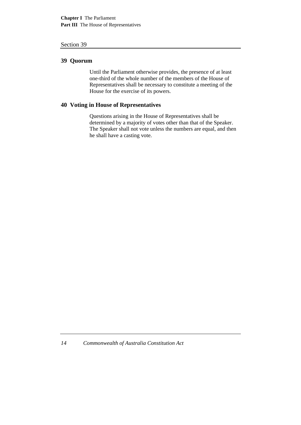# **39 Quorum**

Until the Parliament otherwise provides, the presence of at least one-third of the whole number of the members of the House of Representatives shall be necessary to constitute a meeting of the House for the exercise of its powers.

# **40 Voting in House of Representatives**

Questions arising in the House of Representatives shall be determined by a majority of votes other than that of the Speaker. The Speaker shall not vote unless the numbers are equal, and then he shall have a casting vote.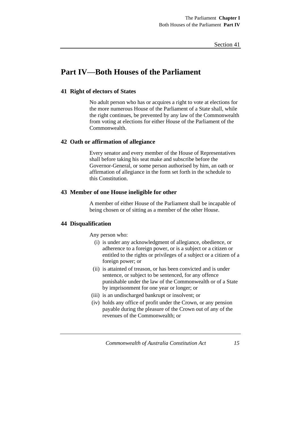# **Part IV—Both Houses of the Parliament**

# **41 Right of electors of States**

No adult person who has or acquires a right to vote at elections for the more numerous House of the Parliament of a State shall, while the right continues, be prevented by any law of the Commonwealth from voting at elections for either House of the Parliament of the Commonwealth.

# **42 Oath or affirmation of allegiance**

Every senator and every member of the House of Representatives shall before taking his seat make and subscribe before the Governor-General, or some person authorised by him, an oath or affirmation of allegiance in the form set forth in the schedule to this Constitution.

# **43 Member of one House ineligible for other**

A member of either House of the Parliament shall be incapable of being chosen or of sitting as a member of the other House.

# **44 Disqualification**

Any person who:

- (i) is under any acknowledgment of allegiance, obedience, or adherence to a foreign power, or is a subject or a citizen or entitled to the rights or privileges of a subject or a citizen of a foreign power; or
- (ii) is attainted of treason, or has been convicted and is under sentence, or subject to be sentenced, for any offence punishable under the law of the Commonwealth or of a State by imprisonment for one year or longer; or
- (iii) is an undischarged bankrupt or insolvent; or
- (iv) holds any office of profit under the Crown, or any pension payable during the pleasure of the Crown out of any of the revenues of the Commonwealth; or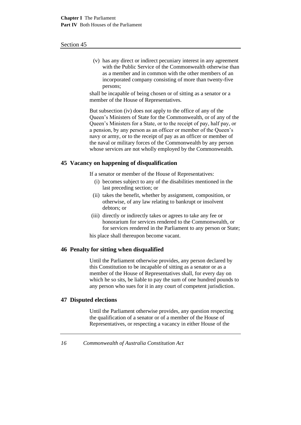(v) has any direct or indirect pecuniary interest in any agreement with the Public Service of the Commonwealth otherwise than as a member and in common with the other members of an incorporated company consisting of more than twenty-five persons;

shall be incapable of being chosen or of sitting as a senator or a member of the House of Representatives.

But subsection (iv) does not apply to the office of any of the Queen's Ministers of State for the Commonwealth, or of any of the Queen's Ministers for a State, or to the receipt of pay, half pay, or a pension, by any person as an officer or member of the Queen's navy or army, or to the receipt of pay as an officer or member of the naval or military forces of the Commonwealth by any person whose services are not wholly employed by the Commonwealth.

# **45 Vacancy on happening of disqualification**

If a senator or member of the House of Representatives:

- (i) becomes subject to any of the disabilities mentioned in the last preceding section; or
- (ii) takes the benefit, whether by assignment, composition, or otherwise, of any law relating to bankrupt or insolvent debtors; or
- (iii) directly or indirectly takes or agrees to take any fee or honorarium for services rendered to the Commonwealth, or for services rendered in the Parliament to any person or State;

his place shall thereupon become vacant.

#### **46 Penalty for sitting when disqualified**

Until the Parliament otherwise provides, any person declared by this Constitution to be incapable of sitting as a senator or as a member of the House of Representatives shall, for every day on which he so sits, be liable to pay the sum of one hundred pounds to any person who sues for it in any court of competent jurisdiction.

# **47 Disputed elections**

Until the Parliament otherwise provides, any question respecting the qualification of a senator or of a member of the House of Representatives, or respecting a vacancy in either House of the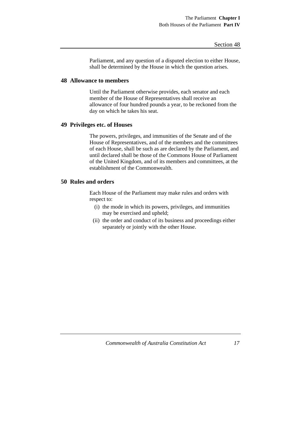Parliament, and any question of a disputed election to either House, shall be determined by the House in which the question arises.

### **48 Allowance to members**

Until the Parliament otherwise provides, each senator and each member of the House of Representatives shall receive an allowance of four hundred pounds a year, to be reckoned from the day on which he takes his seat.

### **49 Privileges etc. of Houses**

The powers, privileges, and immunities of the Senate and of the House of Representatives, and of the members and the committees of each House, shall be such as are declared by the Parliament, and until declared shall be those of the Commons House of Parliament of the United Kingdom, and of its members and committees, at the establishment of the Commonwealth.

### **50 Rules and orders**

Each House of the Parliament may make rules and orders with respect to:

- (i) the mode in which its powers, privileges, and immunities may be exercised and upheld;
- (ii) the order and conduct of its business and proceedings either separately or jointly with the other House.

*Commonwealth of Australia Constitution Act 17*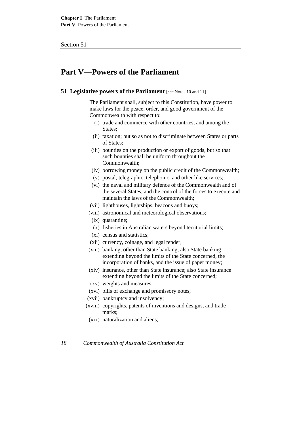# **Part V—Powers of the Parliament**

### **51 Legislative powers of the Parliament** [*see* Notes 10 and 11]

The Parliament shall, subject to this Constitution, have power to make laws for the peace, order, and good government of the Commonwealth with respect to:

- (i) trade and commerce with other countries, and among the States;
- (ii) taxation; but so as not to discriminate between States or parts of States;
- (iii) bounties on the production or export of goods, but so that such bounties shall be uniform throughout the Commonwealth;
- (iv) borrowing money on the public credit of the Commonwealth;
- (v) postal, telegraphic, telephonic, and other like services;
- (vi) the naval and military defence of the Commonwealth and of the several States, and the control of the forces to execute and maintain the laws of the Commonwealth;
- (vii) lighthouses, lightships, beacons and buoys;
- (viii) astronomical and meteorological observations;
	- (ix) quarantine;
	- (x) fisheries in Australian waters beyond territorial limits;
	- (xi) census and statistics;
- (xii) currency, coinage, and legal tender;
- (xiii) banking, other than State banking; also State banking extending beyond the limits of the State concerned, the incorporation of banks, and the issue of paper money;
- (xiv) insurance, other than State insurance; also State insurance extending beyond the limits of the State concerned;
- (xv) weights and measures;
- (xvi) bills of exchange and promissory notes;
- (xvii) bankruptcy and insolvency;
- (xviii) copyrights, patents of inventions and designs, and trade marks;
	- (xix) naturalization and aliens;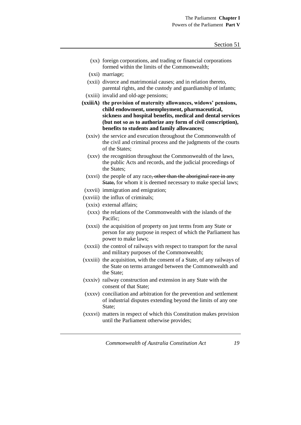- (xx) foreign corporations, and trading or financial corporations formed within the limits of the Commonwealth;
- (xxi) marriage;
- (xxii) divorce and matrimonial causes; and in relation thereto, parental rights, and the custody and guardianship of infants;
- (xxiii) invalid and old-age pensions;
- **(xxiiiA) the provision of maternity allowances, widows' pensions, child endowment, unemployment, pharmaceutical, sickness and hospital benefits, medical and dental services (but not so as to authorize any form of civil conscription), benefits to students and family allowances;**
	- (xxiv) the service and execution throughout the Commonwealth of the civil and criminal process and the judgments of the courts of the States;
	- (xxv) the recognition throughout the Commonwealth of the laws, the public Acts and records, and the judicial proceedings of the States;
- (xxvi) the people of any race, other than the aboriginal race in any State, for whom it is deemed necessary to make special laws;
- (xxvii) immigration and emigration;
- (xxviii) the influx of criminals;
- (xxix) external affairs;
- (xxx) the relations of the Commonwealth with the islands of the Pacific;
- (xxxi) the acquisition of property on just terms from any State or person for any purpose in respect of which the Parliament has power to make laws;
- (xxxii) the control of railways with respect to transport for the naval and military purposes of the Commonwealth;
- (xxxiii) the acquisition, with the consent of a State, of any railways of the State on terms arranged between the Commonwealth and the State;
- (xxxiv) railway construction and extension in any State with the consent of that State;
- (xxxv) conciliation and arbitration for the prevention and settlement of industrial disputes extending beyond the limits of any one State;
- (xxxvi) matters in respect of which this Constitution makes provision until the Parliament otherwise provides;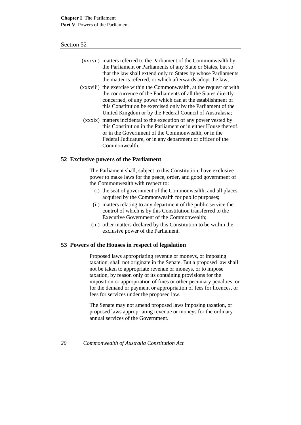| (xxxvii) matters referred to the Parliament of the Commonwealth by |
|--------------------------------------------------------------------|
| the Parliament or Parliaments of any State or States, but so       |
| that the law shall extend only to States by whose Parliaments      |
| the matter is referred, or which afterwards adopt the law;         |

- (xxxviii) the exercise within the Commonwealth, at the request or with the concurrence of the Parliaments of all the States directly concerned, of any power which can at the establishment of this Constitution be exercised only by the Parliament of the United Kingdom or by the Federal Council of Australasia;
	- (xxxix) matters incidental to the execution of any power vested by this Constitution in the Parliament or in either House thereof, or in the Government of the Commonwealth, or in the Federal Judicature, or in any department or officer of the Commonwealth.

# **52 Exclusive powers of the Parliament**

The Parliament shall, subject to this Constitution, have exclusive power to make laws for the peace, order, and good government of the Commonwealth with respect to:

- (i) the seat of government of the Commonwealth, and all places acquired by the Commonwealth for public purposes;
- (ii) matters relating to any department of the public service the control of which is by this Constitution transferred to the Executive Government of the Commonwealth;
- (iii) other matters declared by this Constitution to be within the exclusive power of the Parliament.

# **53 Powers of the Houses in respect of legislation**

Proposed laws appropriating revenue or moneys, or imposing taxation, shall not originate in the Senate. But a proposed law shall not be taken to appropriate revenue or moneys, or to impose taxation, by reason only of its containing provisions for the imposition or appropriation of fines or other pecuniary penalties, or for the demand or payment or appropriation of fees for licences, or fees for services under the proposed law.

The Senate may not amend proposed laws imposing taxation, or proposed laws appropriating revenue or moneys for the ordinary annual services of the Government.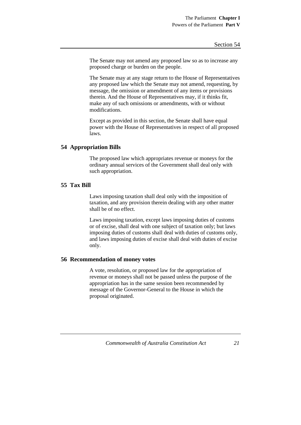The Senate may not amend any proposed law so as to increase any proposed charge or burden on the people.

The Senate may at any stage return to the House of Representatives any proposed law which the Senate may not amend, requesting, by message, the omission or amendment of any items or provisions therein. And the House of Representatives may, if it thinks fit, make any of such omissions or amendments, with or without modifications.

Except as provided in this section, the Senate shall have equal power with the House of Representatives in respect of all proposed laws.

# **54 Appropriation Bills**

The proposed law which appropriates revenue or moneys for the ordinary annual services of the Government shall deal only with such appropriation.

# **55 Tax Bill**

Laws imposing taxation shall deal only with the imposition of taxation, and any provision therein dealing with any other matter shall be of no effect.

Laws imposing taxation, except laws imposing duties of customs or of excise, shall deal with one subject of taxation only; but laws imposing duties of customs shall deal with duties of customs only, and laws imposing duties of excise shall deal with duties of excise only.

# **56 Recommendation of money votes**

A vote, resolution, or proposed law for the appropriation of revenue or moneys shall not be passed unless the purpose of the appropriation has in the same session been recommended by message of the Governor-General to the House in which the proposal originated.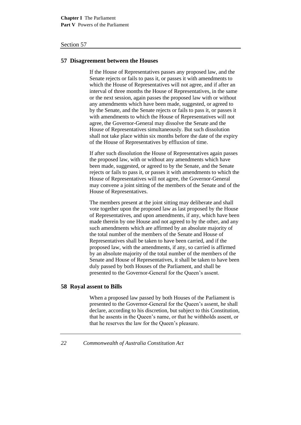### **57 Disagreement between the Houses**

If the House of Representatives passes any proposed law, and the Senate rejects or fails to pass it, or passes it with amendments to which the House of Representatives will not agree, and if after an interval of three months the House of Representatives, in the same or the next session, again passes the proposed law with or without any amendments which have been made, suggested, or agreed to by the Senate, and the Senate rejects or fails to pass it, or passes it with amendments to which the House of Representatives will not agree, the Governor-General may dissolve the Senate and the House of Representatives simultaneously. But such dissolution shall not take place within six months before the date of the expiry of the House of Representatives by effluxion of time.

If after such dissolution the House of Representatives again passes the proposed law, with or without any amendments which have been made, suggested, or agreed to by the Senate, and the Senate rejects or fails to pass it, or passes it with amendments to which the House of Representatives will not agree, the Governor-General may convene a joint sitting of the members of the Senate and of the House of Representatives.

The members present at the joint sitting may deliberate and shall vote together upon the proposed law as last proposed by the House of Representatives, and upon amendments, if any, which have been made therein by one House and not agreed to by the other, and any such amendments which are affirmed by an absolute majority of the total number of the members of the Senate and House of Representatives shall be taken to have been carried, and if the proposed law, with the amendments, if any, so carried is affirmed by an absolute majority of the total number of the members of the Senate and House of Representatives, it shall be taken to have been duly passed by both Houses of the Parliament, and shall be presented to the Governor-General for the Queen's assent.

#### **58 Royal assent to Bills**

When a proposed law passed by both Houses of the Parliament is presented to the Governor-General for the Queen's assent, he shall declare, according to his discretion, but subject to this Constitution, that he assents in the Queen's name, or that he withholds assent, or that he reserves the law for the Queen's pleasure.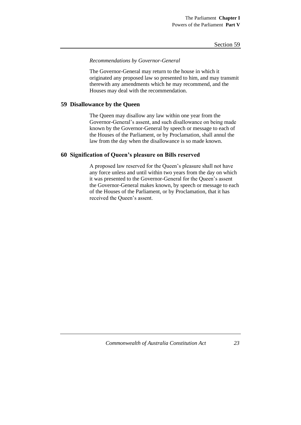#### *Recommendations by Governor-General*

The Governor-General may return to the house in which it originated any proposed law so presented to him, and may transmit therewith any amendments which he may recommend, and the Houses may deal with the recommendation.

#### **59 Disallowance by the Queen**

The Queen may disallow any law within one year from the Governor-General's assent, and such disallowance on being made known by the Governor-General by speech or message to each of the Houses of the Parliament, or by Proclamation, shall annul the law from the day when the disallowance is so made known.

# **60 Signification of Queen's pleasure on Bills reserved**

A proposed law reserved for the Queen's pleasure shall not have any force unless and until within two years from the day on which it was presented to the Governor-General for the Queen's assent the Governor-General makes known, by speech or message to each of the Houses of the Parliament, or by Proclamation, that it has received the Queen's assent.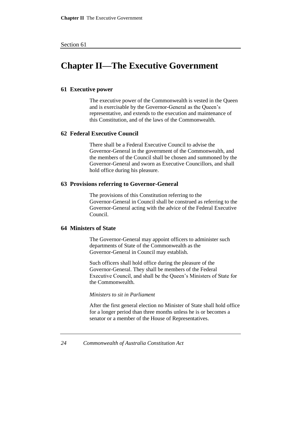# **Chapter II—The Executive Government**

#### **61 Executive power**

The executive power of the Commonwealth is vested in the Queen and is exercisable by the Governor-General as the Queen's representative, and extends to the execution and maintenance of this Constitution, and of the laws of the Commonwealth.

#### **62 Federal Executive Council**

There shall be a Federal Executive Council to advise the Governor-General in the government of the Commonwealth, and the members of the Council shall be chosen and summoned by the Governor-General and sworn as Executive Councillors, and shall hold office during his pleasure.

#### **63 Provisions referring to Governor-General**

The provisions of this Constitution referring to the Governor-General in Council shall be construed as referring to the Governor-General acting with the advice of the Federal Executive Council.

#### **64 Ministers of State**

The Governor-General may appoint officers to administer such departments of State of the Commonwealth as the Governor-General in Council may establish.

Such officers shall hold office during the pleasure of the Governor-General. They shall be members of the Federal Executive Council, and shall be the Queen's Ministers of State for the Commonwealth.

#### *Ministers to sit in Parliament*

After the first general election no Minister of State shall hold office for a longer period than three months unless he is or becomes a senator or a member of the House of Representatives.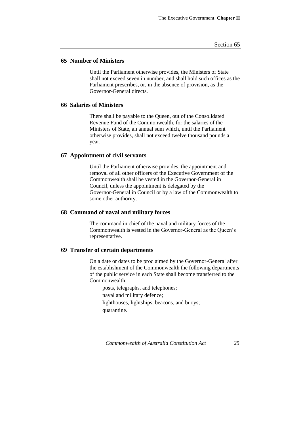# **65 Number of Ministers**

Until the Parliament otherwise provides, the Ministers of State shall not exceed seven in number, and shall hold such offices as the Parliament prescribes, or, in the absence of provision, as the Governor-General directs.

# **66 Salaries of Ministers**

There shall be payable to the Queen, out of the Consolidated Revenue Fund of the Commonwealth, for the salaries of the Ministers of State, an annual sum which, until the Parliament otherwise provides, shall not exceed twelve thousand pounds a year.

#### **67 Appointment of civil servants**

Until the Parliament otherwise provides, the appointment and removal of all other officers of the Executive Government of the Commonwealth shall be vested in the Governor-General in Council, unless the appointment is delegated by the Governor-General in Council or by a law of the Commonwealth to some other authority.

#### **68 Command of naval and military forces**

The command in chief of the naval and military forces of the Commonwealth is vested in the Governor-General as the Queen's representative.

#### **69 Transfer of certain departments**

On a date or dates to be proclaimed by the Governor-General after the establishment of the Commonwealth the following departments of the public service in each State shall become transferred to the Commonwealth:

posts, telegraphs, and telephones; naval and military defence; lighthouses, lightships, beacons, and buoys; quarantine.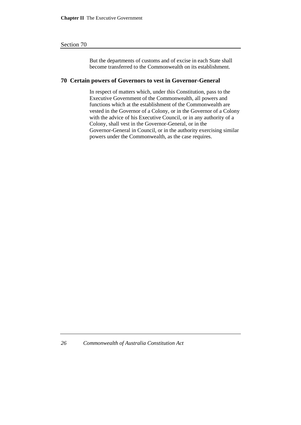But the departments of customs and of excise in each State shall become transferred to the Commonwealth on its establishment.

#### **70 Certain powers of Governors to vest in Governor-General**

In respect of matters which, under this Constitution, pass to the Executive Government of the Commonwealth, all powers and functions which at the establishment of the Commonwealth are vested in the Governor of a Colony, or in the Governor of a Colony with the advice of his Executive Council, or in any authority of a Colony, shall vest in the Governor-General, or in the Governor-General in Council, or in the authority exercising similar powers under the Commonwealth, as the case requires.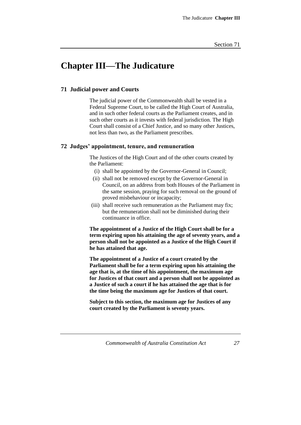# **Chapter III—The Judicature**

### **71 Judicial power and Courts**

The judicial power of the Commonwealth shall be vested in a Federal Supreme Court, to be called the High Court of Australia, and in such other federal courts as the Parliament creates, and in such other courts as it invests with federal jurisdiction. The High Court shall consist of a Chief Justice, and so many other Justices, not less than two, as the Parliament prescribes.

#### **72 Judges' appointment, tenure, and remuneration**

The Justices of the High Court and of the other courts created by the Parliament:

- (i) shall be appointed by the Governor-General in Council;
- (ii) shall not be removed except by the Governor-General in Council, on an address from both Houses of the Parliament in the same session, praying for such removal on the ground of proved misbehaviour or incapacity;
- (iii) shall receive such remuneration as the Parliament may fix; but the remuneration shall not be diminished during their continuance in office.

**The appointment of a Justice of the High Court shall be for a term expiring upon his attaining the age of seventy years, and a person shall not be appointed as a Justice of the High Court if he has attained that age.**

**The appointment of a Justice of a court created by the Parliament shall be for a term expiring upon his attaining the age that is, at the time of his appointment, the maximum age for Justices of that court and a person shall not be appointed as a Justice of such a court if he has attained the age that is for the time being the maximum age for Justices of that court.**

**Subject to this section, the maximum age for Justices of any court created by the Parliament is seventy years.**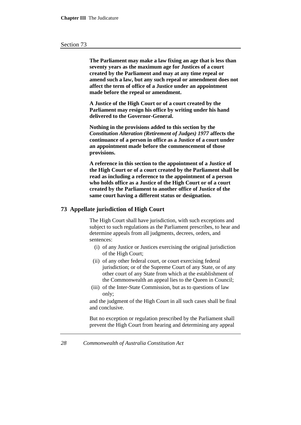**The Parliament may make a law fixing an age that is less than seventy years as the maximum age for Justices of a court created by the Parliament and may at any time repeal or amend such a law, but any such repeal or amendment does not affect the term of office of a Justice under an appointment made before the repeal or amendment.**

**A Justice of the High Court or of a court created by the Parliament may resign his office by writing under his hand delivered to the Governor-General.**

**Nothing in the provisions added to this section by the**  *Constitution Alteration (Retirement of Judges) 1977* **affects the continuance of a person in office as a Justice of a court under an appointment made before the commencement of those provisions.**

**A reference in this section to the appointment of a Justice of the High Court or of a court created by the Parliament shall be read as including a reference to the appointment of a person who holds office as a Justice of the High Court or of a court created by the Parliament to another office of Justice of the same court having a different status or designation.**

#### **73 Appellate jurisdiction of High Court**

The High Court shall have jurisdiction, with such exceptions and subject to such regulations as the Parliament prescribes, to hear and determine appeals from all judgments, decrees, orders, and sentences:

- (i) of any Justice or Justices exercising the original jurisdiction of the High Court;
- (ii) of any other federal court, or court exercising federal jurisdiction; or of the Supreme Court of any State, or of any other court of any State from which at the establishment of the Commonwealth an appeal lies to the Queen in Council;
- (iii) of the Inter-State Commission, but as to questions of law only;

and the judgment of the High Court in all such cases shall be final and conclusive.

But no exception or regulation prescribed by the Parliament shall prevent the High Court from hearing and determining any appeal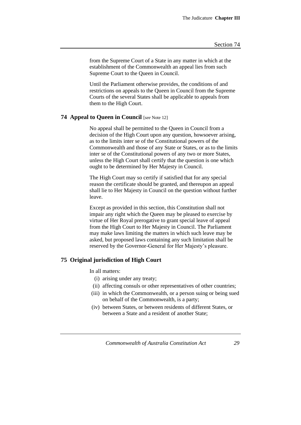from the Supreme Court of a State in any matter in which at the establishment of the Commonwealth an appeal lies from such Supreme Court to the Queen in Council.

Until the Parliament otherwise provides, the conditions of and restrictions on appeals to the Queen in Council from the Supreme Courts of the several States shall be applicable to appeals from them to the High Court.

#### **74 Appeal to Queen in Council** [*see* Note 12]

No appeal shall be permitted to the Queen in Council from a decision of the High Court upon any question, howsoever arising, as to the limits inter se of the Constitutional powers of the Commonwealth and those of any State or States, or as to the limits inter se of the Constitutional powers of any two or more States, unless the High Court shall certify that the question is one which ought to be determined by Her Majesty in Council.

The High Court may so certify if satisfied that for any special reason the certificate should be granted, and thereupon an appeal shall lie to Her Majesty in Council on the question without further leave.

Except as provided in this section, this Constitution shall not impair any right which the Queen may be pleased to exercise by virtue of Her Royal prerogative to grant special leave of appeal from the High Court to Her Majesty in Council. The Parliament may make laws limiting the matters in which such leave may be asked, but proposed laws containing any such limitation shall be reserved by the Governor-General for Her Majesty's pleasure.

#### **75 Original jurisdiction of High Court**

In all matters:

- (i) arising under any treaty;
- (ii) affecting consuls or other representatives of other countries;
- (iii) in which the Commonwealth, or a person suing or being sued on behalf of the Commonwealth, is a party;
- (iv) between States, or between residents of different States, or between a State and a resident of another State;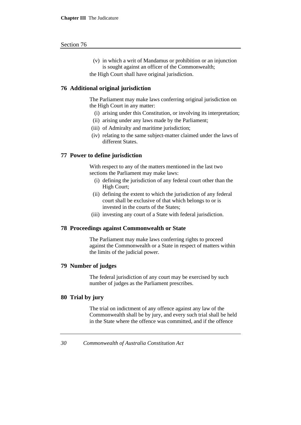(v) in which a writ of Mandamus or prohibition or an injunction is sought against an officer of the Commonwealth; the High Court shall have original jurisdiction.

#### **76 Additional original jurisdiction**

The Parliament may make laws conferring original jurisdiction on the High Court in any matter:

- (i) arising under this Constitution, or involving its interpretation;
- (ii) arising under any laws made by the Parliament;
- (iii) of Admiralty and maritime jurisdiction;
- (iv) relating to the same subject-matter claimed under the laws of different States.

#### **77 Power to define jurisdiction**

With respect to any of the matters mentioned in the last two sections the Parliament may make laws:

- (i) defining the jurisdiction of any federal court other than the High Court;
- (ii) defining the extent to which the jurisdiction of any federal court shall be exclusive of that which belongs to or is invested in the courts of the States;
- (iii) investing any court of a State with federal jurisdiction.

#### **78 Proceedings against Commonwealth or State**

The Parliament may make laws conferring rights to proceed against the Commonwealth or a State in respect of matters within the limits of the judicial power.

#### **79 Number of judges**

The federal jurisdiction of any court may be exercised by such number of judges as the Parliament prescribes.

### **80 Trial by jury**

The trial on indictment of any offence against any law of the Commonwealth shall be by jury, and every such trial shall be held in the State where the offence was committed, and if the offence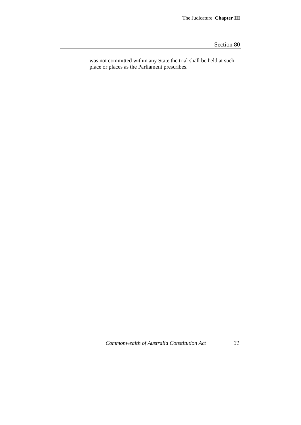was not committed within any State the trial shall be held at such place or places as the Parliament prescribes.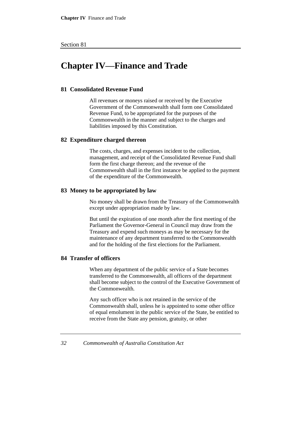# **Chapter IV—Finance and Trade**

### **81 Consolidated Revenue Fund**

All revenues or moneys raised or received by the Executive Government of the Commonwealth shall form one Consolidated Revenue Fund, to be appropriated for the purposes of the Commonwealth in the manner and subject to the charges and liabilities imposed by this Constitution.

### **82 Expenditure charged thereon**

The costs, charges, and expenses incident to the collection, management, and receipt of the Consolidated Revenue Fund shall form the first charge thereon; and the revenue of the Commonwealth shall in the first instance be applied to the payment of the expenditure of the Commonwealth.

# **83 Money to be appropriated by law**

No money shall be drawn from the Treasury of the Commonwealth except under appropriation made by law.

But until the expiration of one month after the first meeting of the Parliament the Governor-General in Council may draw from the Treasury and expend such moneys as may be necessary for the maintenance of any department transferred to the Commonwealth and for the holding of the first elections for the Parliament.

# **84 Transfer of officers**

When any department of the public service of a State becomes transferred to the Commonwealth, all officers of the department shall become subject to the control of the Executive Government of the Commonwealth.

Any such officer who is not retained in the service of the Commonwealth shall, unless he is appointed to some other office of equal emolument in the public service of the State, be entitled to receive from the State any pension, gratuity, or other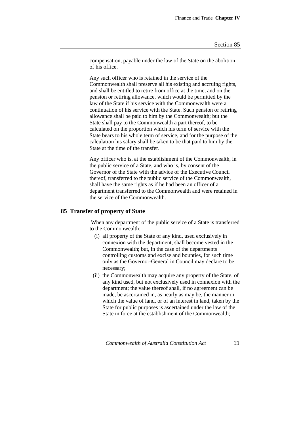compensation, payable under the law of the State on the abolition of his office.

Any such officer who is retained in the service of the Commonwealth shall preserve all his existing and accruing rights, and shall be entitled to retire from office at the time, and on the pension or retiring allowance, which would be permitted by the law of the State if his service with the Commonwealth were a continuation of his service with the State. Such pension or retiring allowance shall be paid to him by the Commonwealth; but the State shall pay to the Commonwealth a part thereof, to be calculated on the proportion which his term of service with the State bears to his whole term of service, and for the purpose of the calculation his salary shall be taken to be that paid to him by the State at the time of the transfer.

Any officer who is, at the establishment of the Commonwealth, in the public service of a State, and who is, by consent of the Governor of the State with the advice of the Executive Council thereof, transferred to the public service of the Commonwealth, shall have the same rights as if he had been an officer of a department transferred to the Commonwealth and were retained in the service of the Commonwealth.

#### **85 Transfer of property of State**

When any department of the public service of a State is transferred to the Commonwealth:

- (i) all property of the State of any kind, used exclusively in connexion with the department, shall become vested in the Commonwealth; but, in the case of the departments controlling customs and excise and bounties, for such time only as the Governor-General in Council may declare to be necessary;
- (ii) the Commonwealth may acquire any property of the State, of any kind used, but not exclusively used in connexion with the department; the value thereof shall, if no agreement can be made, be ascertained in, as nearly as may be, the manner in which the value of land, or of an interest in land, taken by the State for public purposes is ascertained under the law of the State in force at the establishment of the Commonwealth;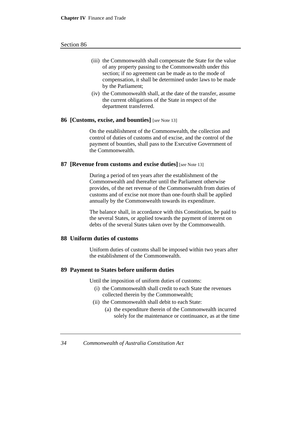- (iii) the Commonwealth shall compensate the State for the value of any property passing to the Commonwealth under this section; if no agreement can be made as to the mode of compensation, it shall be determined under laws to be made by the Parliament;
- (iv) the Commonwealth shall, at the date of the transfer, assume the current obligations of the State in respect of the department transferred.

#### **86 [Customs, excise, and bounties]** [*see* Note 13]

On the establishment of the Commonwealth, the collection and control of duties of customs and of excise, and the control of the payment of bounties, shall pass to the Executive Government of the Commonwealth.

### **87 [Revenue from customs and excise duties]** [*see* Note 13]

During a period of ten years after the establishment of the Commonwealth and thereafter until the Parliament otherwise provides, of the net revenue of the Commonwealth from duties of customs and of excise not more than one-fourth shall be applied annually by the Commonwealth towards its expenditure.

The balance shall, in accordance with this Constitution, be paid to the several States, or applied towards the payment of interest on debts of the several States taken over by the Commonwealth.

#### **88 Uniform duties of customs**

Uniform duties of customs shall be imposed within two years after the establishment of the Commonwealth.

#### **89 Payment to States before uniform duties**

Until the imposition of uniform duties of customs:

- (i) the Commonwealth shall credit to each State the revenues collected therein by the Commonwealth;
- (ii) the Commonwealth shall debit to each State:
	- (a) the expenditure therein of the Commonwealth incurred solely for the maintenance or continuance, as at the time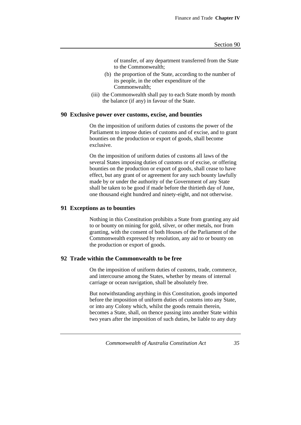of transfer, of any department transferred from the State to the Commonwealth;

- (b) the proportion of the State, according to the number of its people, in the other expenditure of the Commonwealth;
- (iii) the Commonwealth shall pay to each State month by month the balance (if any) in favour of the State.

#### **90 Exclusive power over customs, excise, and bounties**

On the imposition of uniform duties of customs the power of the Parliament to impose duties of customs and of excise, and to grant bounties on the production or export of goods, shall become exclusive.

On the imposition of uniform duties of customs all laws of the several States imposing duties of customs or of excise, or offering bounties on the production or export of goods, shall cease to have effect, but any grant of or agreement for any such bounty lawfully made by or under the authority of the Government of any State shall be taken to be good if made before the thirtieth day of June, one thousand eight hundred and ninety-eight, and not otherwise.

#### **91 Exceptions as to bounties**

Nothing in this Constitution prohibits a State from granting any aid to or bounty on mining for gold, silver, or other metals, nor from granting, with the consent of both Houses of the Parliament of the Commonwealth expressed by resolution, any aid to or bounty on the production or export of goods.

# **92 Trade within the Commonwealth to be free**

On the imposition of uniform duties of customs, trade, commerce, and intercourse among the States, whether by means of internal carriage or ocean navigation, shall be absolutely free.

But notwithstanding anything in this Constitution, goods imported before the imposition of uniform duties of customs into any State, or into any Colony which, whilst the goods remain therein, becomes a State, shall, on thence passing into another State within two years after the imposition of such duties, be liable to any duty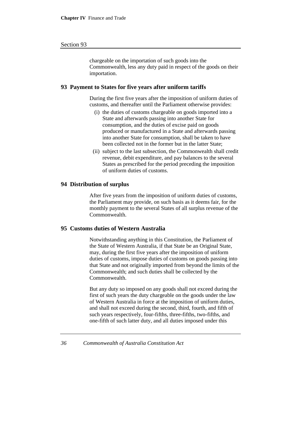chargeable on the importation of such goods into the Commonwealth, less any duty paid in respect of the goods on their importation.

#### **93 Payment to States for five years after uniform tariffs**

During the first five years after the imposition of uniform duties of customs, and thereafter until the Parliament otherwise provides:

- (i) the duties of customs chargeable on goods imported into a State and afterwards passing into another State for consumption, and the duties of excise paid on goods produced or manufactured in a State and afterwards passing into another State for consumption, shall be taken to have been collected not in the former but in the latter State;
- (ii) subject to the last subsection, the Commonwealth shall credit revenue, debit expenditure, and pay balances to the several States as prescribed for the period preceding the imposition of uniform duties of customs.

#### **94 Distribution of surplus**

After five years from the imposition of uniform duties of customs, the Parliament may provide, on such basis as it deems fair, for the monthly payment to the several States of all surplus revenue of the Commonwealth.

#### **95 Customs duties of Western Australia**

Notwithstanding anything in this Constitution, the Parliament of the State of Western Australia, if that State be an Original State, may, during the first five years after the imposition of uniform duties of customs, impose duties of customs on goods passing into that State and not originally imported from beyond the limits of the Commonwealth; and such duties shall be collected by the Commonwealth.

But any duty so imposed on any goods shall not exceed during the first of such years the duty chargeable on the goods under the law of Western Australia in force at the imposition of uniform duties, and shall not exceed during the second, third, fourth, and fifth of such years respectively, four-fifths, three-fifths, two-fifths, and one-fifth of such latter duty, and all duties imposed under this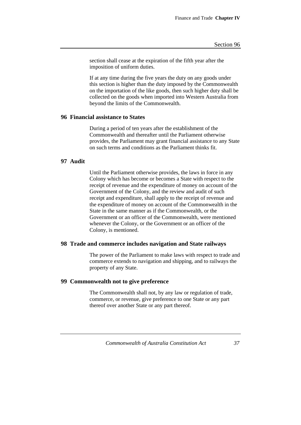section shall cease at the expiration of the fifth year after the imposition of uniform duties.

If at any time during the five years the duty on any goods under this section is higher than the duty imposed by the Commonwealth on the importation of the like goods, then such higher duty shall be collected on the goods when imported into Western Australia from beyond the limits of the Commonwealth.

### **96 Financial assistance to States**

During a period of ten years after the establishment of the Commonwealth and thereafter until the Parliament otherwise provides, the Parliament may grant financial assistance to any State on such terms and conditions as the Parliament thinks fit.

#### **97 Audit**

Until the Parliament otherwise provides, the laws in force in any Colony which has become or becomes a State with respect to the receipt of revenue and the expenditure of money on account of the Government of the Colony, and the review and audit of such receipt and expenditure, shall apply to the receipt of revenue and the expenditure of money on account of the Commonwealth in the State in the same manner as if the Commonwealth, or the Government or an officer of the Commonwealth, were mentioned whenever the Colony, or the Government or an officer of the Colony, is mentioned.

#### **98 Trade and commerce includes navigation and State railways**

The power of the Parliament to make laws with respect to trade and commerce extends to navigation and shipping, and to railways the property of any State.

#### **99 Commonwealth not to give preference**

The Commonwealth shall not, by any law or regulation of trade, commerce, or revenue, give preference to one State or any part thereof over another State or any part thereof.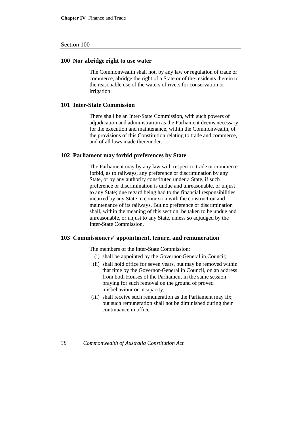#### **100 Nor abridge right to use water**

The Commonwealth shall not, by any law or regulation of trade or commerce, abridge the right of a State or of the residents therein to the reasonable use of the waters of rivers for conservation or irrigation.

#### **101 Inter-State Commission**

There shall be an Inter-State Commission, with such powers of adjudication and administration as the Parliament deems necessary for the execution and maintenance, within the Commonwealth, of the provisions of this Constitution relating to trade and commerce, and of all laws made thereunder.

#### **102 Parliament may forbid preferences by State**

The Parliament may by any law with respect to trade or commerce forbid, as to railways, any preference or discrimination by any State, or by any authority constituted under a State, if such preference or discrimination is undue and unreasonable, or unjust to any State; due regard being had to the financial responsibilities incurred by any State in connexion with the construction and maintenance of its railways. But no preference or discrimination shall, within the meaning of this section, be taken to be undue and unreasonable, or unjust to any State, unless so adjudged by the Inter-State Commission.

#### **103 Commissioners' appointment, tenure, and remuneration**

The members of the Inter-State Commission:

- (i) shall be appointed by the Governor-General in Council;
- (ii) shall hold office for seven years, but may be removed within that time by the Governor-General in Council, on an address from both Houses of the Parliament in the same session praying for such removal on the ground of proved misbehaviour or incapacity;
- (iii) shall receive such remuneration as the Parliament may fix; but such remuneration shall not be diminished during their continuance in office.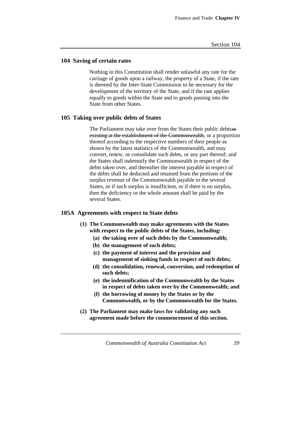#### **104 Saving of certain rates**

Nothing in this Constitution shall render unlawful any rate for the carriage of goods upon a railway, the property of a State, if the rate is deemed by the Inter-State Commission to be necessary for the development of the territory of the State, and if the rate applies equally to goods within the State and to goods passing into the State from other States.

#### **105 Taking over public debts of States**

The Parliament may take over from the States their public debtsas existing at the establishment of the Commonwealth, or a proportion thereof according to the respective numbers of their people as shown by the latest statistics of the Commonwealth, and may convert, renew, or consolidate such debts, or any part thereof; and the States shall indemnify the Commonwealth in respect of the debts taken over, and thereafter the interest payable in respect of the debts shall be deducted and retained from the portions of the surplus revenue of the Commonwealth payable to the several States, or if such surplus is insufficient, or if there is no surplus, then the deficiency or the whole amount shall be paid by the several States.

#### **105A Agreements with respect to State debts**

- **(1) The Commonwealth may make agreements with the States with respect to the public debts of the States, including:**
	- **(a) the taking over of such debts by the Commonwealth;**
	- **(b) the management of such debts;**
	- **(c) the payment of interest and the provision and management of sinking funds in respect of such debts;**
	- **(d) the consolidation, renewal, conversion, and redemption of such debts;**
	- **(e) the indemnification of the Commonwealth by the States in respect of debts taken over by the Commonwealth; and**
	- **(f) the borrowing of money by the States or by the Commonwealth, or by the Commonwealth for the States.**
- **(2) The Parliament may make laws for validating any such agreement made before the commencement of this section.**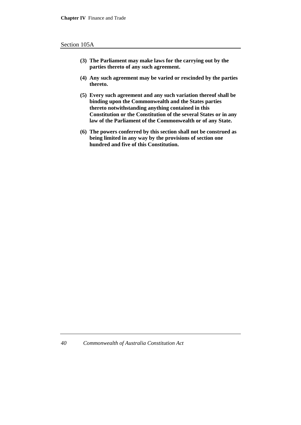#### Section 105A

- **(3) The Parliament may make laws for the carrying out by the parties thereto of any such agreement.**
- **(4) Any such agreement may be varied or rescinded by the parties thereto.**
- **(5) Every such agreement and any such variation thereof shall be binding upon the Commonwealth and the States parties thereto notwithstanding anything contained in this Constitution or the Constitution of the several States or in any law of the Parliament of the Commonwealth or of any State.**
- **(6) The powers conferred by this section shall not be construed as being limited in any way by the provisions of section one hundred and five of this Constitution.**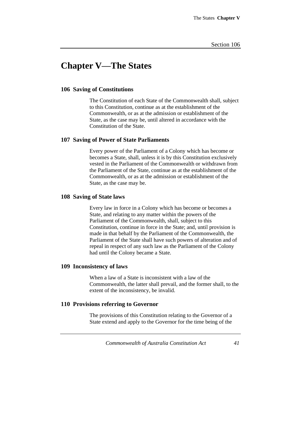# **Chapter V—The States**

#### **106 Saving of Constitutions**

The Constitution of each State of the Commonwealth shall, subject to this Constitution, continue as at the establishment of the Commonwealth, or as at the admission or establishment of the State, as the case may be, until altered in accordance with the Constitution of the State.

#### **107 Saving of Power of State Parliaments**

Every power of the Parliament of a Colony which has become or becomes a State, shall, unless it is by this Constitution exclusively vested in the Parliament of the Commonwealth or withdrawn from the Parliament of the State, continue as at the establishment of the Commonwealth, or as at the admission or establishment of the State, as the case may be.

#### **108 Saving of State laws**

Every law in force in a Colony which has become or becomes a State, and relating to any matter within the powers of the Parliament of the Commonwealth, shall, subject to this Constitution, continue in force in the State; and, until provision is made in that behalf by the Parliament of the Commonwealth, the Parliament of the State shall have such powers of alteration and of repeal in respect of any such law as the Parliament of the Colony had until the Colony became a State.

#### **109 Inconsistency of laws**

When a law of a State is inconsistent with a law of the Commonwealth, the latter shall prevail, and the former shall, to the extent of the inconsistency, be invalid.

#### **110 Provisions referring to Governor**

The provisions of this Constitution relating to the Governor of a State extend and apply to the Governor for the time being of the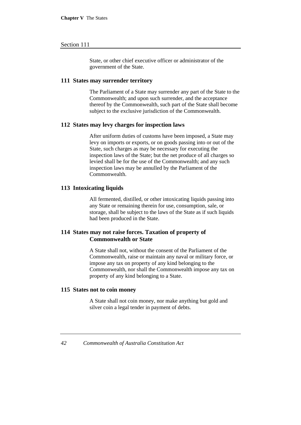State, or other chief executive officer or administrator of the government of the State.

#### **111 States may surrender territory**

The Parliament of a State may surrender any part of the State to the Commonwealth; and upon such surrender, and the acceptance thereof by the Commonwealth, such part of the State shall become subject to the exclusive jurisdiction of the Commonwealth.

#### **112 States may levy charges for inspection laws**

After uniform duties of customs have been imposed, a State may levy on imports or exports, or on goods passing into or out of the State, such charges as may be necessary for executing the inspection laws of the State; but the net produce of all charges so levied shall be for the use of the Commonwealth; and any such inspection laws may be annulled by the Parliament of the Commonwealth.

#### **113 Intoxicating liquids**

All fermented, distilled, or other intoxicating liquids passing into any State or remaining therein for use, consumption, sale, or storage, shall be subject to the laws of the State as if such liquids had been produced in the State.

### **114 States may not raise forces. Taxation of property of Commonwealth or State**

A State shall not, without the consent of the Parliament of the Commonwealth, raise or maintain any naval or military force, or impose any tax on property of any kind belonging to the Commonwealth, nor shall the Commonwealth impose any tax on property of any kind belonging to a State.

#### **115 States not to coin money**

A State shall not coin money, nor make anything but gold and silver coin a legal tender in payment of debts.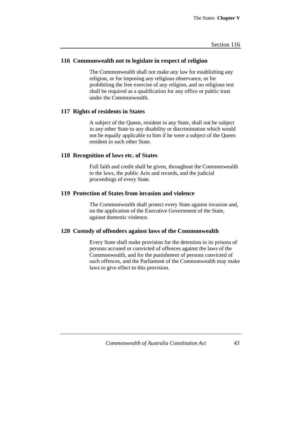### **116 Commonwealth not to legislate in respect of religion**

The Commonwealth shall not make any law for establishing any religion, or for imposing any religious observance, or for prohibiting the free exercise of any religion, and no religious test shall be required as a qualification for any office or public trust under the Commonwealth.

#### **117 Rights of residents in States**

A subject of the Queen, resident in any State, shall not be subject in any other State to any disability or discrimination which would not be equally applicable to him if he were a subject of the Queen resident in such other State.

#### **118 Recognition of laws etc. of States**

Full faith and credit shall be given, throughout the Commonwealth to the laws, the public Acts and records, and the judicial proceedings of every State.

### **119 Protection of States from invasion and violence**

The Commonwealth shall protect every State against invasion and, on the application of the Executive Government of the State, against domestic violence.

#### **120 Custody of offenders against laws of the Commonwealth**

Every State shall make provision for the detention in its prisons of persons accused or convicted of offences against the laws of the Commonwealth, and for the punishment of persons convicted of such offences, and the Parliament of the Commonwealth may make laws to give effect to this provision.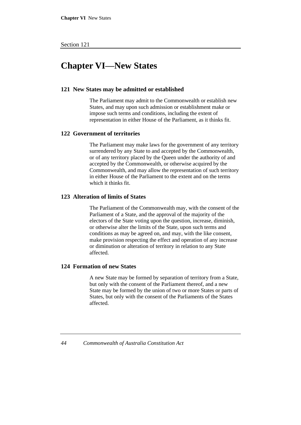# **Chapter VI—New States**

# **121 New States may be admitted or established**

The Parliament may admit to the Commonwealth or establish new States, and may upon such admission or establishment make or impose such terms and conditions, including the extent of representation in either House of the Parliament, as it thinks fit.

# **122 Government of territories**

The Parliament may make laws for the government of any territory surrendered by any State to and accepted by the Commonwealth, or of any territory placed by the Queen under the authority of and accepted by the Commonwealth, or otherwise acquired by the Commonwealth, and may allow the representation of such territory in either House of the Parliament to the extent and on the terms which it thinks fit.

# **123 Alteration of limits of States**

The Parliament of the Commonwealth may, with the consent of the Parliament of a State, and the approval of the majority of the electors of the State voting upon the question, increase, diminish, or otherwise alter the limits of the State, upon such terms and conditions as may be agreed on, and may, with the like consent, make provision respecting the effect and operation of any increase or diminution or alteration of territory in relation to any State affected.

# **124 Formation of new States**

A new State may be formed by separation of territory from a State, but only with the consent of the Parliament thereof, and a new State may be formed by the union of two or more States or parts of States, but only with the consent of the Parliaments of the States affected.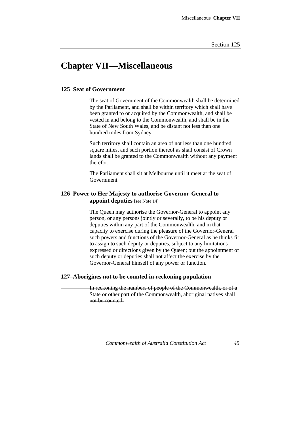# **Chapter VII—Miscellaneous**

#### **125 Seat of Government**

The seat of Government of the Commonwealth shall be determined by the Parliament, and shall be within territory which shall have been granted to or acquired by the Commonwealth, and shall be vested in and belong to the Commonwealth, and shall be in the State of New South Wales, and be distant not less than one hundred miles from Sydney.

Such territory shall contain an area of not less than one hundred square miles, and such portion thereof as shall consist of Crown lands shall be granted to the Commonwealth without any payment therefor.

The Parliament shall sit at Melbourne until it meet at the seat of Government.

# **126 Power to Her Majesty to authorise Governor-General to appoint deputies** [*see* Note 14]

The Queen may authorise the Governor-General to appoint any person, or any persons jointly or severally, to be his deputy or deputies within any part of the Commonwealth, and in that capacity to exercise during the pleasure of the Governor-General such powers and functions of the Governor-General as he thinks fit to assign to such deputy or deputies, subject to any limitations expressed or directions given by the Queen; but the appointment of such deputy or deputies shall not affect the exercise by the Governor-General himself of any power or function.

#### **127 Aborigines not to be counted in reckoning population**

In reckoning the numbers of people of the Commonwealth, or of a State or other part of the Commonwealth, aboriginal natives shall not be counted.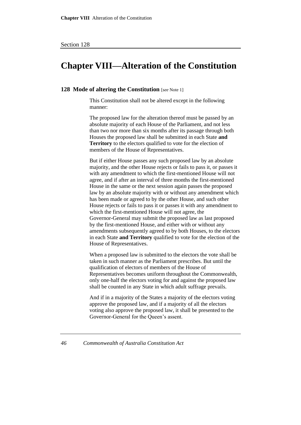# **Chapter VIII—Alteration of the Constitution**

#### **128 Mode of altering the Constitution** [*see* Note 1]

This Constitution shall not be altered except in the following manner:

The proposed law for the alteration thereof must be passed by an absolute majority of each House of the Parliament, and not less than two nor more than six months after its passage through both Houses the proposed law shall be submitted in each State **and Territory** to the electors qualified to vote for the election of members of the House of Representatives.

But if either House passes any such proposed law by an absolute majority, and the other House rejects or fails to pass it, or passes it with any amendment to which the first-mentioned House will not agree, and if after an interval of three months the first-mentioned House in the same or the next session again passes the proposed law by an absolute majority with or without any amendment which has been made or agreed to by the other House, and such other House rejects or fails to pass it or passes it with any amendment to which the first-mentioned House will not agree, the Governor-General may submit the proposed law as last proposed by the first-mentioned House, and either with or without any amendments subsequently agreed to by both Houses, to the electors in each State **and Territory** qualified to vote for the election of the House of Representatives.

When a proposed law is submitted to the electors the vote shall be taken in such manner as the Parliament prescribes. But until the qualification of electors of members of the House of Representatives becomes uniform throughout the Commonwealth, only one-half the electors voting for and against the proposed law shall be counted in any State in which adult suffrage prevails.

And if in a majority of the States a majority of the electors voting approve the proposed law, and if a majority of all the electors voting also approve the proposed law, it shall be presented to the Governor-General for the Queen's assent.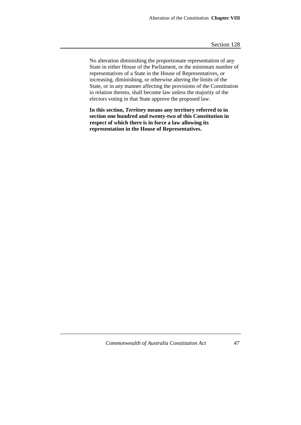No alteration diminishing the proportionate representation of any State in either House of the Parliament, or the minimum number of representatives of a State in the House of Representatives, or increasing, diminishing, or otherwise altering the limits of the State, or in any manner affecting the provisions of the Constitution in relation thereto, shall become law unless the majority of the electors voting in that State approve the proposed law.

**In this section,** *Territory* **means any territory referred to in section one hundred and twenty-two of this Constitution in respect of which there is in force a law allowing its representation in the House of Representatives.**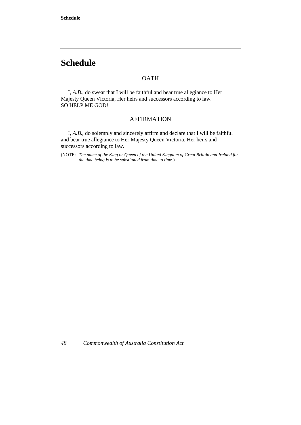# **Schedule**

### **OATH**

I, *A.B.*, do swear that I will be faithful and bear true allegiance to Her Majesty Queen Victoria, Her heirs and successors according to law. SO HELP ME GOD!

#### AFFIRMATION

I, *A.B.*, do solemnly and sincerely affirm and declare that I will be faithful and bear true allegiance to Her Majesty Queen Victoria, Her heirs and successors according to law.

(NOTE: *The name of the King or Queen of the United Kingdom of Great Britain and Ireland for the time being is to be substituted from time to time.*)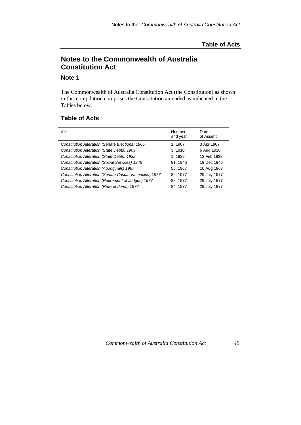# **Notes to the Commonwealth of Australia Constitution Act**

# **Note 1**

The Commonwealth of Australia Constitution Act (the Constitution) as shown in this compilation comprises the Constitution amended as indicated in the Tables below.

# **Table of Acts**

| Act                                                    | Number<br>and year | Date<br>of Assent |
|--------------------------------------------------------|--------------------|-------------------|
| Constitution Alteration (Senate Elections) 1906        | 1, 1907            | 3 Apr 1907        |
| Constitution Alteration (State Debts) 1909             | 3, 1910            | 6 Aug 1910        |
| Constitution Alteration (State Debts) 1928             | 1, 1929            | 13 Feb 1929       |
| <b>Constitution Alteration (Social Services) 1946</b>  | 81, 1946           | 19 Dec 1946       |
| Constitution Alteration (Aboriginals) 1967             | 55, 1967           | 10 Aug 1967       |
| Constitution Alteration (Senate Casual Vacancies) 1977 | 82, 1977           | 29 July 1977      |
| Constitution Alteration (Retirement of Judges) 1977    | 83, 1977           | 29 July 1977      |
| Constitution Alteration (Referendums) 1977             | 84, 1977           | 29 July 1977      |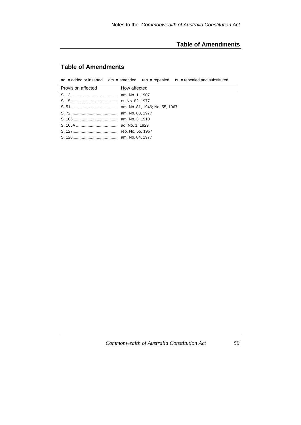# **Table of Amendments**

# **Table of Amendments**

ad. = added or inserted am. = amended rep. = repealed rs. = repealed and substituted

| Provision affected How affected |  |
|---------------------------------|--|
|                                 |  |
|                                 |  |
|                                 |  |
|                                 |  |
|                                 |  |
|                                 |  |
|                                 |  |
|                                 |  |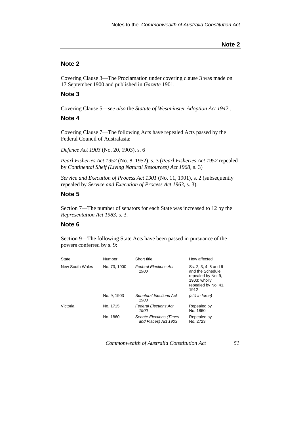Covering Clause 3—The Proclamation under covering clause 3 was made on 17 September 1900 and published in *Gazette* 1901.

#### **Note 3**

Covering Clause 5—*see also* the *Statute of Westminster Adoption Act 1942* .

#### **Note 4**

Covering Clause 7—The following Acts have repealed Acts passed by the Federal Council of Australasia:

*Defence Act 1903* (No. 20, 1903), s. 6

*Pearl Fisheries Act 1952* (No. 8, 1952), s. 3 (*Pearl Fisheries Act 1952* repealed by *Continental Shelf (Living Natural Resources) Act 1968*, s. 3)

*Service and Execution of Process Act 1901* (No. 11, 1901), s. 2 (subsequently repealed by *Service and Execution of Process Act 1963*, s. 3).

#### **Note 5**

Section 7—The number of senators for each State was increased to 12 by the *Representation Act 1983*, s. 3.

# **Note 6**

Section 9—The following State Acts have been passed in pursuance of the powers conferred by s. 9:

| <b>State</b>    | Number       | Short title                                            | How affected                                                                                                  |
|-----------------|--------------|--------------------------------------------------------|---------------------------------------------------------------------------------------------------------------|
| New South Wales | No. 73, 1900 | <b>Federal Flections Act</b><br>1900                   | Ss. 2, 3, 4, 5 and 6<br>and the Schedule<br>repealed by No. 9.<br>1903; wholly<br>repealed by No. 41.<br>1912 |
|                 | No. 9. 1903  | Senators' Elections Act<br>1903                        | (still in force)                                                                                              |
| Victoria        | No. 1715     | <b>Federal Flections Act</b><br>1900                   | Repealed by<br>No. 1860                                                                                       |
|                 | No. 1860     | <b>Senate Elections (Times</b><br>and Places) Act 1903 | Repealed by<br>No. 2723                                                                                       |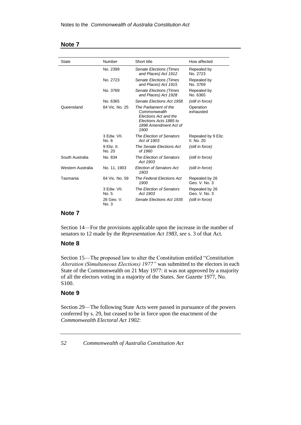| State             | Number                | Short title                                                                                                               | How affected                          |
|-------------------|-----------------------|---------------------------------------------------------------------------------------------------------------------------|---------------------------------------|
|                   | No. 2399              | <b>Senate Elections (Times</b><br>and Places) Act 1912                                                                    | Repealed by<br>No. 2723               |
|                   | No. 2723              | <b>Senate Elections (Times</b><br>and Places) Act 1915                                                                    | Repealed by<br>No. 3769               |
|                   | No. 3769              | <b>Senate Elections (Times</b><br>and Places) Act 1928                                                                    | Repealed by<br>No. 6365               |
|                   | No. 6365              | Senate Elections Act 1958                                                                                                 | (still in force)                      |
| Queensland        | 64 Vic. No. 25        | The Parliament of the<br>Commonwealth<br>Elections Act and the<br>Elections Acts 1885 to<br>1898 Amendment Act of<br>1900 | Operation<br>exhausted                |
|                   | 3 Edw. VII.<br>No. 6  | The Election of Senators<br>Act of 1903                                                                                   | Repealed by 9 Eliz.<br>$II.$ No. $20$ |
|                   | 9 Eliz. II.<br>No. 20 | The Senate Elections Act<br>of 1960                                                                                       | (still in force)                      |
| South Australia   | No. 834               | The Election of Senators<br>Act 1903                                                                                      | (still in force)                      |
| Western Australia | No. 11, 1903          | <b>Election of Senators Act</b><br>1903                                                                                   | (still in force)                      |
| Tasmania          | 64 Vic. No. 59        | The Federal Elections Act<br>1900                                                                                         | Repealed by 26<br>Geo. V. No. 3       |
|                   | 3 Edw. VII.<br>No. 5  | The Election of Senators<br>Act 1903                                                                                      | Repealed by 26<br>Geo. V. No. 3       |
|                   | 26 Geo. V.<br>No. 3   | Senate Elections Act 1935                                                                                                 | (still in force)                      |

## **Note 7**

Section 14—For the provisions applicable upon the increase in the number of senators to 12 made by the *Representation Act 1983*, *see* s. 3 of that Act.

#### **Note 8**

Section 15—The proposed law to alter the Constitution entitled "*Constitution Alteration (Simultaneous Elections) 1977"* was submitted to the electors in each State of the Commonwealth on 21 May 1977: it was not approved by a majority of all the electors voting in a majority of the States. *See Gazette* 1977, No. S100.

#### **Note 9**

Section 29—The following State Acts were passed in pursuance of the powers conferred by s. 29, but ceased to be in force upon the enactment of the *Commonwealth Electoral Act 1902*: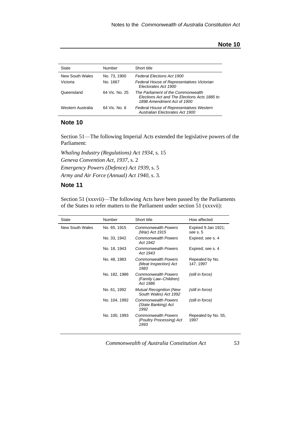| State             | Number         | Short title                                                                                                      |
|-------------------|----------------|------------------------------------------------------------------------------------------------------------------|
| New South Wales   | No. 73, 1900   | <b>Federal Elections Act 1900</b>                                                                                |
| Victoria          | No. 1667       | Federal House of Representatives Victorian<br>Flectorates Act 1900                                               |
| Queensland        | 64 Vic. No. 25 | The Parliament of the Commonwealth<br>Flections Act and The Flections Acts 1885 to<br>1898 Amendment Act of 1900 |
| Western Australia | 64 Vic. No. 6  | <b>Federal House of Representatives Western</b><br>Australian Electorates Act 1900                               |

### **Note 10**

Section 51—The following Imperial Acts extended the legislative powers of the Parliament:

*Whaling Industry (Regulations) Act 1934*, s. 15 *Geneva Convention Act, 1937*, s. 2 *Emergency Powers (Defence) Act 1939*, s. 5 *Army and Air Force (Annual) Act 1940*, s. 3.

# **Note 11**

Section 51 (xxxvii)—The following Acts have been passed by the Parliaments of the States to refer matters to the Parliament under section 51 (xxxvii):

| State           | Number        | Short title                                              | How affected                    |
|-----------------|---------------|----------------------------------------------------------|---------------------------------|
| New South Wales | No. 65, 1915  | Commonwealth Powers<br>(War) Act 1915                    | Expired 9 Jan 1921;<br>see s. 5 |
|                 | No. 33, 1942  | Commonwealth Powers<br>Act 1942                          | Expired; see s. 4               |
|                 | No. 18, 1943  | Commonwealth Powers<br>Act 1943                          | Expired; see s. 4               |
|                 | No. 48, 1983  | Commonwealth Powers<br>(Meat Inspection) Act<br>1983     | Repealed by No.<br>147, 1997    |
|                 | No. 182, 1986 | Commonwealth Powers<br>(Family Law-Children)<br>Act 1986 | (still in force)                |
|                 | No. 61, 1992  | <b>Mutual Recognition (New</b><br>South Wales) Act 1992  | (still in force)                |
|                 | No. 104, 1992 | Commonwealth Powers<br>(State Banking) Act<br>1992       | (still in force)                |
|                 | No. 100, 1993 | Commonwealth Powers<br>(Poultry Processing) Act<br>1993  | Repealed by No. 55,<br>1997     |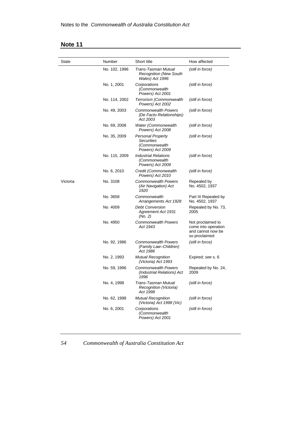| Note |  |  |
|------|--|--|
|------|--|--|

| State    | Number        | Short title                                                                        | How affected                                                                   |
|----------|---------------|------------------------------------------------------------------------------------|--------------------------------------------------------------------------------|
|          | No. 102, 1996 | Trans-Tasman Mutual<br><b>Recognition (New South</b><br>Wales) Act 1996            | (still in force)                                                               |
|          | No. 1, 2001   | Corporations<br>(Commonwealth<br>Powers) Act 2001                                  | (still in force)                                                               |
|          | No. 114, 2002 | Terrorism (Commonwealth<br>Powers) Act 2002                                        | (still in force)                                                               |
|          | No. 49, 2003  | <b>Commonwealth Powers</b><br>(De Facto Relationships)<br>Act 2003                 | (still in force)                                                               |
|          | No. 69, 2008  | Water (Commonwealth<br>Powers) Act 2008                                            | (still in force)                                                               |
|          | No. 35, 2009  | <b>Personal Property</b><br><b>Securities</b><br>(Commonwealth<br>Powers) Act 2009 | (still in force)                                                               |
|          | No. 115, 2009 | <i><b>Industrial Relations</b></i><br>(Commonwealth<br>Powers) Act 2009            | (still in force)                                                               |
|          | No. 6, 2010   | Credit (Commonwealth<br>Powers) Act 2010                                           | (still in force)                                                               |
| Victoria | No. 3108      | Commonwealth Powers<br>(Air Navigation) Act<br>1920                                | Repealed by<br>No. 4502, 1937                                                  |
|          | No. 3658      | Commonwealth<br>Arrangements Act 1928                                              | Part III Repealed by<br>No. 4502, 1937                                         |
|          | No. 4009      | <b>Debt Conversion</b><br>Agreement Act 1931<br>(No. 2)                            | Repealed by No. 73,<br>2005                                                    |
|          | No. 4950      | <b>Commonwealth Powers</b><br>Act 1943                                             | Not proclaimed to<br>come into operation<br>and cannot now be<br>so proclaimed |
|          | No. 92, 1986  | Commonwealth Powers<br>(Family Law-Children)<br>Act 1986                           | (still in force)                                                               |
|          | No. 2, 1993   | <b>Mutual Recognition</b><br>(Victoria) Act 1993                                   | Expired; see s. 6                                                              |
|          | No. 59, 1996  | <b>Commonwealth Powers</b><br>(Industrial Relations) Act<br>1996                   | Repealed by No. 24,<br>2009                                                    |
|          | No. 4, 1998   | Trans-Tasman Mutual<br>Recognition (Victoria)<br>Act 1998                          | (still in force)                                                               |
|          | No. 62, 1998  | <b>Mutual Recognition</b><br>(Victoria) Act 1998 (Vic)                             | (still in force)                                                               |
|          | No. 6, 2001   | Corporations<br>(Commonwealth<br>Powers) Act 2001                                  | (still in force)                                                               |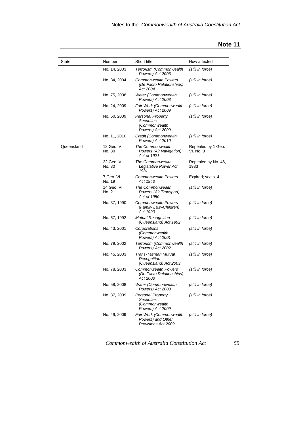| State      | Number               | Short title                                                                 | How affected                    |
|------------|----------------------|-----------------------------------------------------------------------------|---------------------------------|
|            | No. 14, 2003         | Terrorism (Commonwealth<br>Powers) Act 2003                                 | (still in force)                |
|            | No. 84, 2004         | <b>Commonwealth Powers</b><br>(De Facto Relationships)<br>Act 2004          | (still in force)                |
|            | No. 75, 2008         | Water (Commonwealth<br>Powers) Act 2008                                     | (still in force)                |
|            | No. 24, 2009         | Fair Work (Commonwealth<br>Powers) Act 2009                                 | (still in force)                |
|            | No. 60, 2009         | Personal Property<br><b>Securities</b><br>(Commonwealth<br>Powers) Act 2009 | (still in force)                |
|            | No. 11, 2010         | Credit (Commonwealth<br>Powers) Act 2010                                    | (still in force)                |
| Queensland | 12 Geo. V.<br>No. 30 | The Commonwealth<br>Powers (Air Navigation)<br>Act of 1921                  | Repealed by 1 Geo.<br>VI. No. 8 |
|            | 22 Geo. V.<br>No. 30 | The Commonwealth<br>Legislative Power Act<br>1931                           | Repealed by No. 46,<br>1983     |
|            | 7 Geo. VI.<br>No. 19 | <b>Commonwealth Powers</b><br>Act 1943                                      | Expired; see s. 4               |
|            | 14 Geo. VI.<br>No. 2 | The Commonwealth<br>Powers (Air Transport)<br>Act of 1950                   | (still in force)                |
|            | No. 37, 1990         | <b>Commonwealth Powers</b><br>(Family Law-Children)<br>Act 1990             | (still in force)                |
|            | No. 67, 1992         | <b>Mutual Recognition</b><br>(Queensland) Act 1992                          | (still in force)                |
|            | No. 43, 2001         | Corporations<br>(Commonwealth<br>Powers) Act 2001                           | (still in force)                |
|            | No. 79, 2002         | Terrorism (Commonwealth<br>Powers) Act 2002                                 | (still in force)                |
|            | No. 45, 2003         | Trans-Tasman Mutual<br>Recognition<br>(Queensland) Act 2003                 | (still in force)                |
|            | No. 78, 2003         | <b>Commonwealth Powers</b><br>(De Facto Relationships)<br>Act 2003          | (still in force)                |
|            | No. 58, 2008         | Water (Commonwealth<br>Powers) Act 2008                                     | (still in force)                |
|            | No. 37, 2009         | <b>Personal Property</b><br>Securities<br>(Commonwealth<br>Powers) Act 2009 | (still in force)                |
|            | No. 49, 2009         | Fair Work (Commonwealth<br>Powers) and Other<br>Provisions Act 2009         | (still in force)                |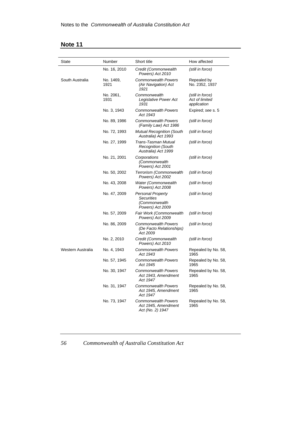| State             | Number            | Short title                                                                        | How affected                                      |
|-------------------|-------------------|------------------------------------------------------------------------------------|---------------------------------------------------|
|                   | No. 16, 2010      | Credit (Commonwealth<br>Powers) Act 2010                                           | (still in force)                                  |
| South Australia   | No. 1469,<br>1921 | <b>Commonwealth Powers</b><br>(Air Navigation) Act<br>1921                         | Repealed by<br>No. 2352, 1937                     |
|                   | No. 2061,<br>1931 | Commonwealth<br>Legislative Power Act<br>1931                                      | (still in force)<br>Act of limited<br>application |
|                   | No. 3, 1943       | <b>Commonwealth Powers</b><br>Act 1943                                             | Expired; see s. 5                                 |
|                   | No. 89, 1986      | <b>Commonwealth Powers</b><br>(Family Law) Act 1986                                | (still in force)                                  |
|                   | No. 72, 1993      | <b>Mutual Recognition (South</b><br>Australia) Act 1993                            | (still in force)                                  |
|                   | No. 27, 1999      | Trans-Tasman Mutual<br><b>Recognition (South</b><br>Australia) Act 1999            | (still in force)                                  |
|                   | No. 21, 2001      | Corporations<br>(Commonwealth<br>Powers) Act 2001                                  | (still in force)                                  |
|                   | No. 50, 2002      | Terrorism (Commonwealth<br>Powers) Act 2002                                        | (still in force)                                  |
|                   | No. 43, 2008      | Water (Commonwealth<br>Powers) Act 2008                                            | (still in force)                                  |
|                   | No. 47, 2009      | <b>Personal Property</b><br><b>Securities</b><br>(Commonwealth<br>Powers) Act 2009 | (still in force)                                  |
|                   | No. 57, 2009      | Fair Work (Commonwealth<br>Powers) Act 2009                                        | (still in force)                                  |
|                   | No. 86, 2009      | <b>Commonwealth Powers</b><br>(De Facto Relationships)<br>Act 2009                 | (still in force)                                  |
|                   | No. 2, 2010       | Credit (Commonwealth<br>Powers) Act 2010                                           | (still in force)                                  |
| Western Australia | No. 4, 1943       | Commonwealth Powers<br>Act 1943                                                    | Repealed by No. 58,<br>1965                       |
|                   | No. 57, 1945      | <b>Commonwealth Powers</b><br>Act 1945                                             | Repealed by No. 58,<br>1965                       |
|                   | No. 30, 1947      | <b>Commonwealth Powers</b><br>Act 1943, Amendment<br>Act 1947                      | Repealed by No. 58,<br>1965                       |
|                   | No. 31, 1947      | <b>Commonwealth Powers</b><br>Act 1945, Amendment<br>Act 1947                      | Repealed by No. 58,<br>1965                       |
|                   | No. 73, 1947      | <b>Commonwealth Powers</b><br>Act 1945, Amendment<br>Act (No. 2) 1947              | Repealed by No. 58,<br>1965                       |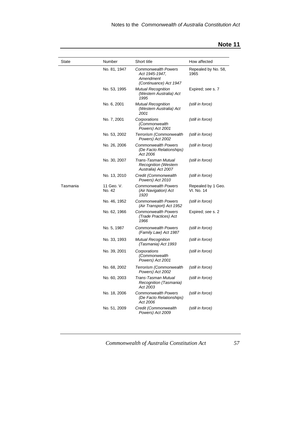| State    | Number               | Short title                                                                  | How affected                     |
|----------|----------------------|------------------------------------------------------------------------------|----------------------------------|
|          | No. 81, 1947         | Commonwealth Powers<br>Act 1945-1947,<br>Amendment<br>(Continuance) Act 1947 | Repealed by No. 58,<br>1965      |
|          | No. 53, 1995         | <b>Mutual Recognition</b><br>(Western Australia) Act<br>1995                 | Expired; see s.7                 |
|          | No. 6, 2001          | <b>Mutual Recognition</b><br>(Western Australia) Act<br>2001                 | (still in force)                 |
|          | No. 7, 2001          | Corporations<br>(Commonwealth<br>Powers) Act 2001                            | (still in force)                 |
|          | No. 53, 2002         | Terrorism (Commonwealth<br>Powers) Act 2002                                  | (still in force)                 |
|          | No. 26, 2006         | <b>Commonwealth Powers</b><br>(De Facto Relationships)<br>Act 2006           | (still in force)                 |
|          | No. 30, 2007         | Trans-Tasman Mutual<br>Recognition (Western<br>Australia) Act 2007           | (still in force)                 |
|          | No. 13, 2010         | Credit (Commonwealth<br>Powers) Act 2010                                     | (still in force)                 |
| Tasmania | 11 Geo. V.<br>No. 42 | <b>Commonwealth Powers</b><br>(Air Navigation) Act<br>1920                   | Repealed by 1 Geo.<br>VI. No. 14 |
|          | No. 46, 1952         | <b>Commonwealth Powers</b><br>(Air Transport) Act 1952                       | (still in force)                 |
|          | No. 62, 1966         | <b>Commonwealth Powers</b><br>(Trade Practices) Act<br>1966                  | Expired; see s. 2                |
|          | No. 5, 1987          | Commonwealth Powers<br>(Family Law) Act 1987                                 | (still in force)                 |
|          | No. 33, 1993         | <b>Mutual Recognition</b><br>(Tasmania) Act 1993                             | (still in force)                 |
|          | No. 39, 2001         | Corporations<br>(Commonwealth<br>Powers) Act 2001                            | (still in force)                 |
|          | No. 68, 2002         | Terrorism (Commonwealth<br>Powers) Act 2002                                  | (still in force)                 |
|          | No. 60, 2003         | Trans-Tasman Mutual<br>Recognition (Tasmania)<br>Act 2003                    | (still in force)                 |
|          | No. 18, 2006         | Commonwealth Powers<br>(De Facto Relationships)<br>Act 2006                  | (still in force)                 |
|          | No. 51, 2009         | Credit (Commonwealth<br>Powers) Act 2009                                     | (still in force)                 |